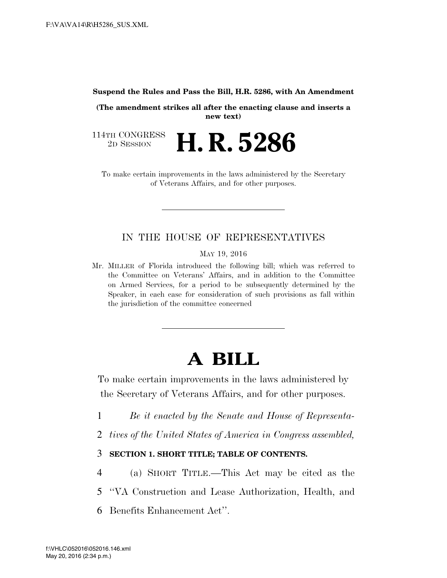**Suspend the Rules and Pass the Bill, H.R. 5286, with An Amendment** 

**(The amendment strikes all after the enacting clause and inserts a new text)** 

114TH CONGRESS<br>2D SESSION 2D SESSION **H. R. 5286** 

To make certain improvements in the laws administered by the Secretary of Veterans Affairs, and for other purposes.

## IN THE HOUSE OF REPRESENTATIVES

MAY 19, 2016

Mr. MILLER of Florida introduced the following bill; which was referred to the Committee on Veterans' Affairs, and in addition to the Committee on Armed Services, for a period to be subsequently determined by the Speaker, in each case for consideration of such provisions as fall within the jurisdiction of the committee concerned

# **A BILL**

To make certain improvements in the laws administered by the Secretary of Veterans Affairs, and for other purposes.

- 1 *Be it enacted by the Senate and House of Representa-*
- 2 *tives of the United States of America in Congress assembled,*

## 3 **SECTION 1. SHORT TITLE; TABLE OF CONTENTS.**

- 4 (a) SHORT TITLE.—This Act may be cited as the
- 5 ''VA Construction and Lease Authorization, Health, and
- 6 Benefits Enhancement Act''.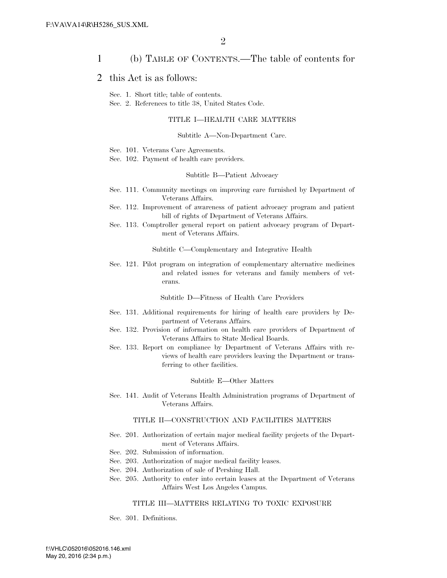### 1 (b) TABLE OF CONTENTS.—The table of contents for

### 2 this Act is as follows:

Sec. 1. Short title; table of contents.

Sec. 2. References to title 38, United States Code.

### TITLE I—HEALTH CARE MATTERS

### Subtitle A—Non-Department Care.

- Sec. 101. Veterans Care Agreements.
- Sec. 102. Payment of health care providers.

#### Subtitle B—Patient Advocacy

- Sec. 111. Community meetings on improving care furnished by Department of Veterans Affairs.
- Sec. 112. Improvement of awareness of patient advocacy program and patient bill of rights of Department of Veterans Affairs.
- Sec. 113. Comptroller general report on patient advocacy program of Department of Veterans Affairs.

Subtitle C—Complementary and Integrative Health

Sec. 121. Pilot program on integration of complementary alternative medicines and related issues for veterans and family members of veterans.

Subtitle D—Fitness of Health Care Providers

- Sec. 131. Additional requirements for hiring of health care providers by Department of Veterans Affairs.
- Sec. 132. Provision of information on health care providers of Department of Veterans Affairs to State Medical Boards.
- Sec. 133. Report on compliance by Department of Veterans Affairs with reviews of health care providers leaving the Department or transferring to other facilities.

#### Subtitle E—Other Matters

Sec. 141. Audit of Veterans Health Administration programs of Department of Veterans Affairs.

#### TITLE II—CONSTRUCTION AND FACILITIES MATTERS

- Sec. 201. Authorization of certain major medical facility projects of the Department of Veterans Affairs.
- Sec. 202. Submission of information.
- Sec. 203. Authorization of major medical facility leases.
- Sec. 204. Authorization of sale of Pershing Hall.
- Sec. 205. Authority to enter into certain leases at the Department of Veterans Affairs West Los Angeles Campus.

### TITLE III—MATTERS RELATING TO TOXIC EXPOSURE

Sec. 301. Definitions.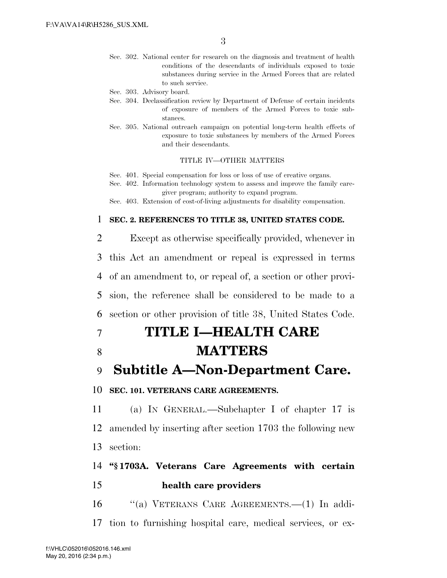Sec. 302. National center for research on the diagnosis and treatment of health conditions of the descendants of individuals exposed to toxic substances during service in the Armed Forces that are related to such service.

Sec. 303. Advisory board.

- Sec. 304. Declassification review by Department of Defense of certain incidents of exposure of members of the Armed Forces to toxic substances.
- Sec. 305. National outreach campaign on potential long-term health effects of exposure to toxic substances by members of the Armed Forces and their descendants.

TITLE IV—OTHER MATTERS

Sec. 401. Special compensation for loss or loss of use of creative organs.

Sec. 402. Information technology system to assess and improve the family caregiver program; authority to expand program.

Sec. 403. Extension of cost-of-living adjustments for disability compensation.

### 1 **SEC. 2. REFERENCES TO TITLE 38, UNITED STATES CODE.**

 Except as otherwise specifically provided, whenever in this Act an amendment or repeal is expressed in terms of an amendment to, or repeal of, a section or other provi- sion, the reference shall be considered to be made to a section or other provision of title 38, United States Code.

# 7 **TITLE I—HEALTH CARE**

8 **MATTERS** 

# 9 **Subtitle A—Non-Department Care.**

### 10 **SEC. 101. VETERANS CARE AGREEMENTS.**

11 (a) IN GENERAL.—Subchapter I of chapter 17 is 12 amended by inserting after section 1703 the following new 13 section:

# 14 **''§ 1703A. Veterans Care Agreements with certain**  15 **health care providers**

16 ''(a) VETERANS CARE AGREEMENTS.—(1) In addi-17 tion to furnishing hospital care, medical services, or ex-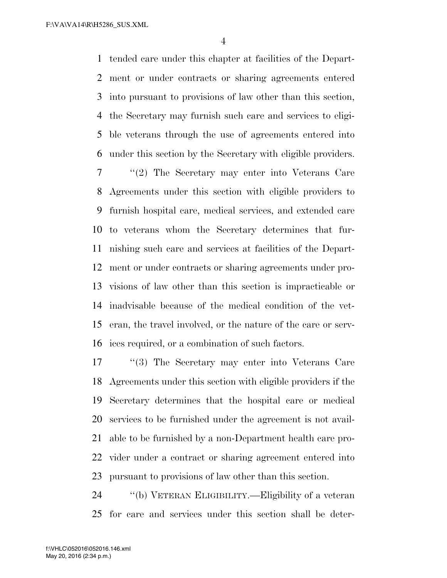tended care under this chapter at facilities of the Depart- ment or under contracts or sharing agreements entered into pursuant to provisions of law other than this section, the Secretary may furnish such care and services to eligi- ble veterans through the use of agreements entered into under this section by the Secretary with eligible providers.

 ''(2) The Secretary may enter into Veterans Care Agreements under this section with eligible providers to furnish hospital care, medical services, and extended care to veterans whom the Secretary determines that fur- nishing such care and services at facilities of the Depart- ment or under contracts or sharing agreements under pro- visions of law other than this section is impracticable or inadvisable because of the medical condition of the vet- eran, the travel involved, or the nature of the care or serv-ices required, or a combination of such factors.

 ''(3) The Secretary may enter into Veterans Care Agreements under this section with eligible providers if the Secretary determines that the hospital care or medical services to be furnished under the agreement is not avail- able to be furnished by a non-Department health care pro- vider under a contract or sharing agreement entered into pursuant to provisions of law other than this section.

 ''(b) VETERAN ELIGIBILITY.—Eligibility of a veteran for care and services under this section shall be deter-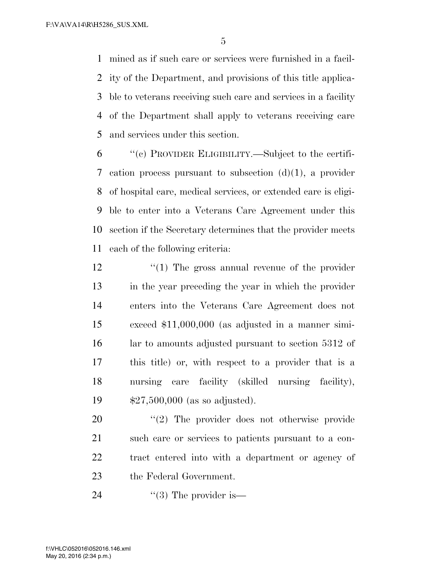mined as if such care or services were furnished in a facil- ity of the Department, and provisions of this title applica- ble to veterans receiving such care and services in a facility of the Department shall apply to veterans receiving care and services under this section.

 ''(c) PROVIDER ELIGIBILITY.—Subject to the certifi- cation process pursuant to subsection (d)(1), a provider of hospital care, medical services, or extended care is eligi- ble to enter into a Veterans Care Agreement under this section if the Secretary determines that the provider meets each of the following criteria:

 $\frac{1}{2}$  (1) The gross annual revenue of the provider in the year preceding the year in which the provider enters into the Veterans Care Agreement does not exceed \$11,000,000 (as adjusted in a manner simi- lar to amounts adjusted pursuant to section 5312 of this title) or, with respect to a provider that is a nursing care facility (skilled nursing facility), \$27,500,000 (as so adjusted).

 $\frac{1}{2}$  The provider does not otherwise provide such care or services to patients pursuant to a con- tract entered into with a department or agency of the Federal Government.

24  $\frac{1}{3}$  The provider is —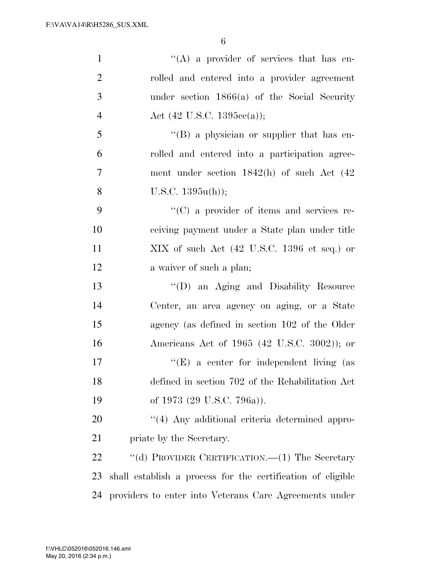| $\mathbf{1}$     | $\lq\lq$ a provider of services that has en-                     |
|------------------|------------------------------------------------------------------|
| $\overline{2}$   | rolled and entered into a provider agreement                     |
| 3                | under section $1866(a)$ of the Social Security                   |
| $\overline{4}$   | Act $(42 \text{ U.S.C. } 1395\text{cc}(a))$ ;                    |
| 5                | "(B) a physician or supplier that has en-                        |
| 6                | rolled and entered into a participation agree-                   |
| $\boldsymbol{7}$ | ment under section 1842(h) of such Act (42                       |
| 8                | U.S.C. $1395u(h)$ ;                                              |
| 9                | $\lq\lq$ (C) a provider of items and services re-                |
| 10               | ceiving payment under a State plan under title                   |
| 11               | $XIX$ of such Act $(42 \text{ U.S.C. } 1396 \text{ et seq.})$ or |
| 12               | a waiver of such a plan;                                         |
| 13               | "(D) an Aging and Disability Resource                            |
| 14               | Center, an area agency on aging, or a State                      |
| 15               | agency (as defined in section 102 of the Older                   |
| 16               | Americans Act of 1965 (42 U.S.C. 3002)); or                      |
| 17               | " $(E)$ a center for independent living (as                      |
| 18               | defined in section 702 of the Rehabilitation Act                 |
| 19               | of 1973 (29 U.S.C. 796a)).                                       |
| 20               | "(4) Any additional criteria determined appro-                   |
| 21               | priate by the Secretary.                                         |
| 22               | "(d) PROVIDER CERTIFICATION.—(1) The Secretary                   |
| 23               | shall establish a process for the certification of eligible      |
| 24               | providers to enter into Veterans Care Agreements under           |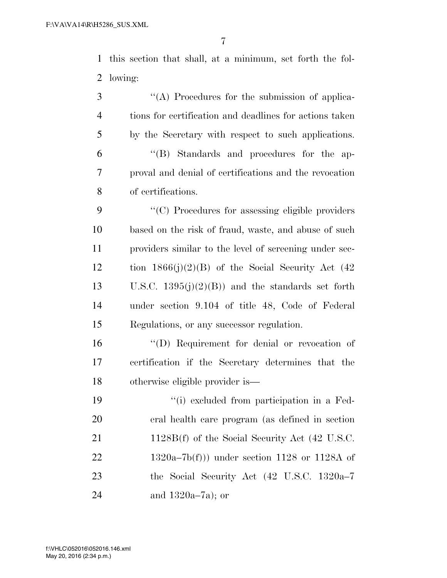this section that shall, at a minimum, set forth the fol-lowing:

 $\langle (A) \rangle$  Procedures for the submission of applica- tions for certification and deadlines for actions taken by the Secretary with respect to such applications. ''(B) Standards and procedures for the ap- proval and denial of certifications and the revocation of certifications.

 ''(C) Procedures for assessing eligible providers based on the risk of fraud, waste, and abuse of such providers similar to the level of screening under sec-12 tion  $1866(j)(2)(B)$  of the Social Security Act (42) 13 U.S.C.  $1395(j)(2)(B)$  and the standards set forth under section 9.104 of title 48, Code of Federal Regulations, or any successor regulation.

 ''(D) Requirement for denial or revocation of certification if the Secretary determines that the otherwise eligible provider is—

 ''(i) excluded from participation in a Fed- eral health care program (as defined in section 21 1128B(f) of the Social Security Act (42 U.S.C.  $1320a-7b(f))$  under section 1128 or 1128A of the Social Security Act (42 U.S.C. 1320a–7 and 1320a–7a); or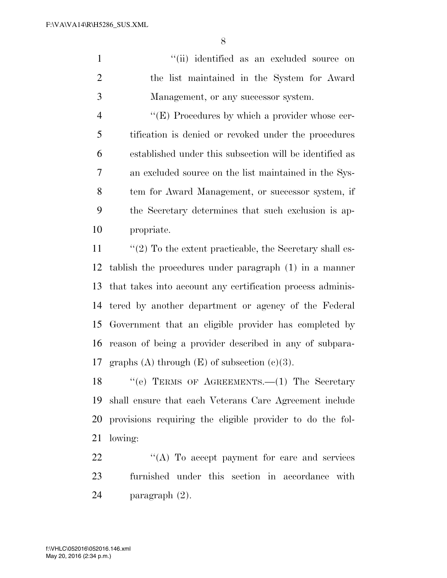1 ''(ii) identified as an excluded source on the list maintained in the System for Award Management, or any successor system.

 $\langle (E) \rangle$  Procedures by which a provider whose cer- tification is denied or revoked under the procedures established under this subsection will be identified as an excluded source on the list maintained in the Sys- tem for Award Management, or successor system, if the Secretary determines that such exclusion is ap-propriate.

11 ''(2) To the extent practicable, the Secretary shall es- tablish the procedures under paragraph (1) in a manner that takes into account any certification process adminis- tered by another department or agency of the Federal Government that an eligible provider has completed by reason of being a provider described in any of subpara-17 graphs (A) through  $(E)$  of subsection  $(c)(3)$ .

18 "'(e) TERMS OF AGREEMENTS.—(1) The Secretary shall ensure that each Veterans Care Agreement include provisions requiring the eligible provider to do the fol-lowing:

22 "(A) To accept payment for care and services furnished under this section in accordance with paragraph (2).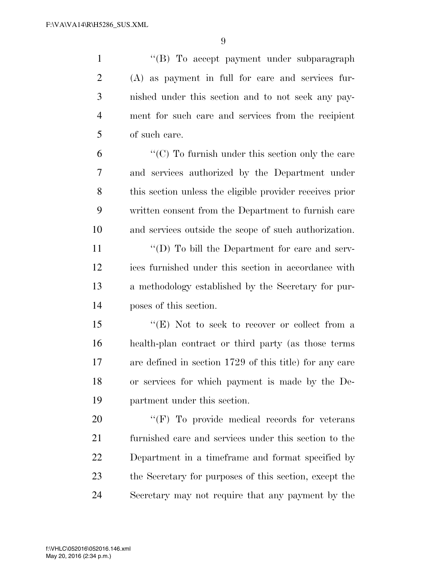1 ''(B) To accept payment under subparagraph (A) as payment in full for care and services fur- nished under this section and to not seek any pay- ment for such care and services from the recipient of such care.

 ''(C) To furnish under this section only the care and services authorized by the Department under this section unless the eligible provider receives prior written consent from the Department to furnish care and services outside the scope of such authorization.

11 ''(D) To bill the Department for care and serv- ices furnished under this section in accordance with a methodology established by the Secretary for pur-poses of this section.

 ''(E) Not to seek to recover or collect from a health-plan contract or third party (as those terms are defined in section 1729 of this title) for any care or services for which payment is made by the De-partment under this section.

 $\langle f \rangle$  To provide medical records for veterans furnished care and services under this section to the Department in a timeframe and format specified by the Secretary for purposes of this section, except the Secretary may not require that any payment by the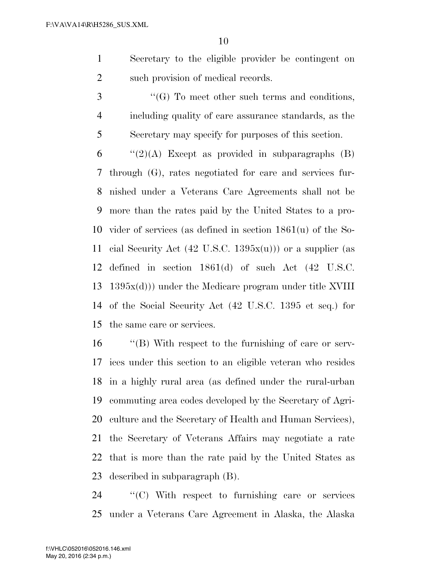Secretary to the eligible provider be contingent on 2 such provision of medical records.

3 "(G) To meet other such terms and conditions, including quality of care assurance standards, as the Secretary may specify for purposes of this section.

 $\qquad$  "(2)(A) Except as provided in subparagraphs (B) through (G), rates negotiated for care and services fur- nished under a Veterans Care Agreements shall not be more than the rates paid by the United States to a pro- vider of services (as defined in section 1861(u) of the So-11 cial Security Act  $(42 \text{ U.S.C. } 1395x(u))$  or a supplier (as defined in section 1861(d) of such Act (42 U.S.C. 1395x(d))) under the Medicare program under title XVIII of the Social Security Act (42 U.S.C. 1395 et seq.) for the same care or services.

 ''(B) With respect to the furnishing of care or serv- ices under this section to an eligible veteran who resides in a highly rural area (as defined under the rural-urban commuting area codes developed by the Secretary of Agri- culture and the Secretary of Health and Human Services), the Secretary of Veterans Affairs may negotiate a rate that is more than the rate paid by the United States as described in subparagraph (B).

 ''(C) With respect to furnishing care or services under a Veterans Care Agreement in Alaska, the Alaska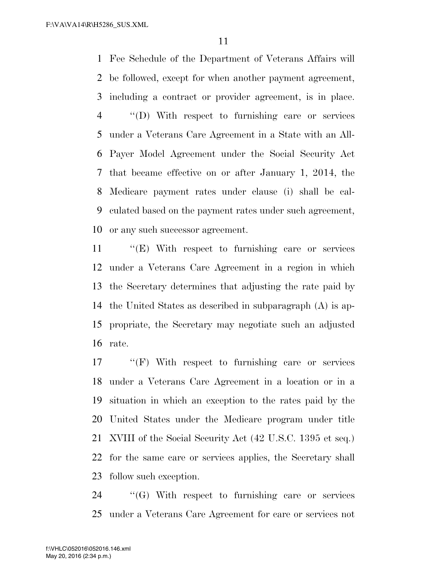Fee Schedule of the Department of Veterans Affairs will be followed, except for when another payment agreement, including a contract or provider agreement, is in place. ''(D) With respect to furnishing care or services under a Veterans Care Agreement in a State with an All- Payer Model Agreement under the Social Security Act that became effective on or after January 1, 2014, the Medicare payment rates under clause (i) shall be cal- culated based on the payment rates under such agreement, or any such successor agreement.

 ''(E) With respect to furnishing care or services under a Veterans Care Agreement in a region in which the Secretary determines that adjusting the rate paid by the United States as described in subparagraph (A) is ap- propriate, the Secretary may negotiate such an adjusted rate.

 ''(F) With respect to furnishing care or services under a Veterans Care Agreement in a location or in a situation in which an exception to the rates paid by the United States under the Medicare program under title XVIII of the Social Security Act (42 U.S.C. 1395 et seq.) for the same care or services applies, the Secretary shall follow such exception.

 ''(G) With respect to furnishing care or services under a Veterans Care Agreement for care or services not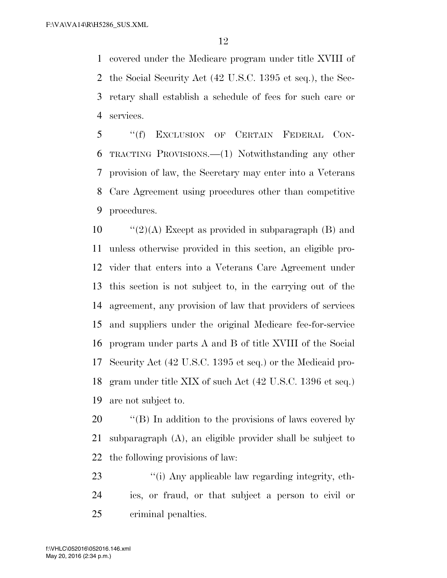covered under the Medicare program under title XVIII of the Social Security Act (42 U.S.C. 1395 et seq.), the Sec- retary shall establish a schedule of fees for such care or services.

 ''(f) EXCLUSION OF CERTAIN FEDERAL CON- TRACTING PROVISIONS.—(1) Notwithstanding any other provision of law, the Secretary may enter into a Veterans Care Agreement using procedures other than competitive procedures.

 $\frac{10}{2}(A)$  Except as provided in subparagraph (B) and unless otherwise provided in this section, an eligible pro- vider that enters into a Veterans Care Agreement under this section is not subject to, in the carrying out of the agreement, any provision of law that providers of services and suppliers under the original Medicare fee-for-service program under parts A and B of title XVIII of the Social Security Act (42 U.S.C. 1395 et seq.) or the Medicaid pro- gram under title XIX of such Act (42 U.S.C. 1396 et seq.) are not subject to.

20  $\cdot$  ''(B) In addition to the provisions of laws covered by subparagraph (A), an eligible provider shall be subject to the following provisions of law:

23 ''(i) Any applicable law regarding integrity, eth- ics, or fraud, or that subject a person to civil or criminal penalties.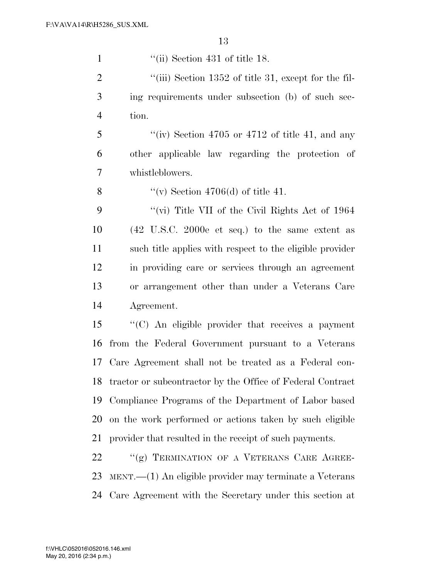| $\mathbf{1}$   | $\lq\lq$ (ii) Section 431 of title 18.                             |
|----------------|--------------------------------------------------------------------|
| $\overline{2}$ | "(iii) Section $1352$ of title 31, except for the fil-             |
| 3              | ing requirements under subsection (b) of such sec-                 |
| $\overline{4}$ | tion.                                                              |
| 5              | "(iv) Section 4705 or 4712 of title 41, and any                    |
| 6              | other applicable law regarding the protection of                   |
| 7              | whistleblowers.                                                    |
| 8              | "(v) Section 4706(d) of title 41.                                  |
| 9              | "(vi) Title VII of the Civil Rights Act of $1964$                  |
| 10             | $(42 \text{ U.S.C. } 2000e \text{ et seq.})$ to the same extent as |
| 11             | such title applies with respect to the eligible provider           |
| 12             | in providing care or services through an agreement                 |
| 13             | or arrangement other than under a Veterans Care                    |
| 14             | Agreement.                                                         |
| 15             | "(C) An eligible provider that receives a payment                  |
| 16             | from the Federal Government pursuant to a Veterans                 |
| 17             | Care Agreement shall not be treated as a Federal con-              |
| 18             | tractor or subcontractor by the Office of Federal Contract         |
| 19             | Compliance Programs of the Department of Labor based               |
| 20             | on the work performed or actions taken by such eligible            |
| 21             | provider that resulted in the receipt of such payments.            |
| 22             | "(g) TERMINATION OF A VETERANS CARE AGREE-                         |
| 23             | $MENT.$ $-$ (1) An eligible provider may terminate a Veterans      |
| 24             | Care Agreement with the Secretary under this section at            |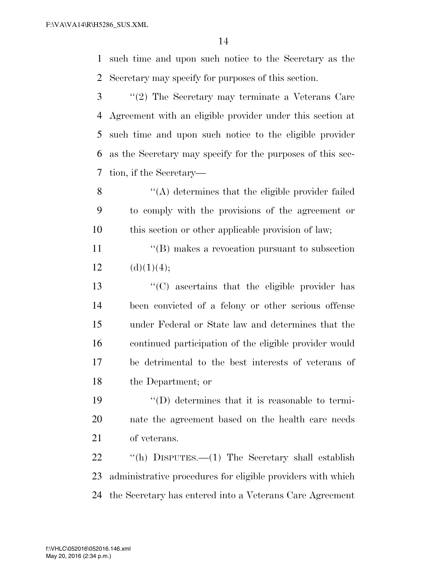such time and upon such notice to the Secretary as the Secretary may specify for purposes of this section.

 ''(2) The Secretary may terminate a Veterans Care Agreement with an eligible provider under this section at such time and upon such notice to the eligible provider as the Secretary may specify for the purposes of this sec-tion, if the Secretary—

 ''(A) determines that the eligible provider failed to comply with the provisions of the agreement or this section or other applicable provision of law;

11 ''(B) makes a revocation pursuant to subsection 12  $(d)(1)(4);$ 

 ''(C) ascertains that the eligible provider has been convicted of a felony or other serious offense under Federal or State law and determines that the continued participation of the eligible provider would be detrimental to the best interests of veterans of the Department; or

 ''(D) determines that it is reasonable to termi- nate the agreement based on the health care needs of veterans.

 ''(h) DISPUTES.—(1) The Secretary shall establish administrative procedures for eligible providers with which the Secretary has entered into a Veterans Care Agreement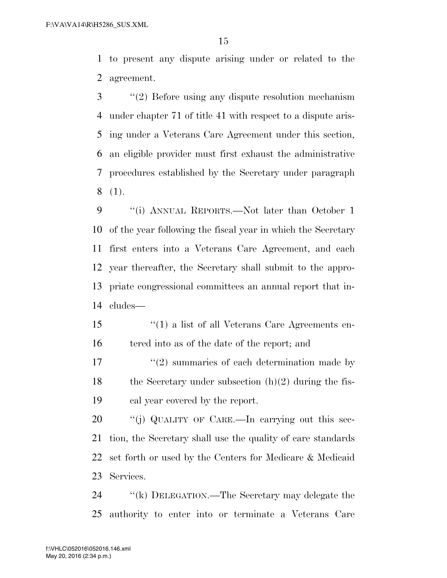to present any dispute arising under or related to the agreement.

 ''(2) Before using any dispute resolution mechanism under chapter 71 of title 41 with respect to a dispute aris- ing under a Veterans Care Agreement under this section, an eligible provider must first exhaust the administrative procedures established by the Secretary under paragraph (1).

9 "(i) ANNUAL REPORTS.—Not later than October 1 of the year following the fiscal year in which the Secretary first enters into a Veterans Care Agreement, and each year thereafter, the Secretary shall submit to the appro- priate congressional committees an annual report that in-cludes—

 ''(1) a list of all Veterans Care Agreements en-16 tered into as of the date of the report; and

 $\frac{17}{2}$  ''(2) summaries of each determination made by 18 the Secretary under subsection  $(h)(2)$  during the fis-cal year covered by the report.

20 "(j) QUALITY OF CARE.—In carrying out this sec- tion, the Secretary shall use the quality of care standards set forth or used by the Centers for Medicare & Medicaid Services.

 ''(k) DELEGATION.—The Secretary may delegate the authority to enter into or terminate a Veterans Care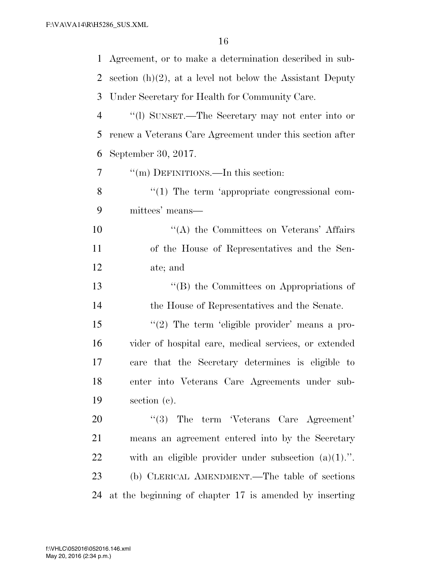| 1              | Agreement, or to make a determination described in sub-      |
|----------------|--------------------------------------------------------------|
| 2              | section $(h)(2)$ , at a level not below the Assistant Deputy |
| 3              | Under Secretary for Health for Community Care.               |
| $\overline{4}$ | "(1) SUNSET.—The Secretary may not enter into or             |
| 5              | renew a Veterans Care Agreement under this section after     |
| 6              | September 30, 2017.                                          |
| 7              | "(m) DEFINITIONS.—In this section:                           |
| 8              | $\lq(1)$ The term 'appropriate congressional com-            |
| 9              | mittees' means—                                              |
| 10             | $\lq\lq$ the Committees on Veterans' Affairs                 |
| 11             | of the House of Representatives and the Sen-                 |
| 12             | ate; and                                                     |
| 13             | "(B) the Committees on Appropriations of                     |
| 14             | the House of Representatives and the Senate.                 |
| 15             | "(2) The term 'eligible provider' means a pro-               |
| 16             | vider of hospital care, medical services, or extended        |
| 17             | care that the Secretary determines is eligible to            |
| 18             | enter into Veterans Care Agreements under sub-               |
| 19             | section $(e)$ .                                              |
| 20             | $\cdot$ (3) The term Veterans Care Agreement'                |
| 21             | means an agreement entered into by the Secretary             |
| 22             | with an eligible provider under subsection $(a)(1)$ .".      |
| 23             | (b) CLERICAL AMENDMENT.—The table of sections                |
| 24             | at the beginning of chapter 17 is amended by inserting       |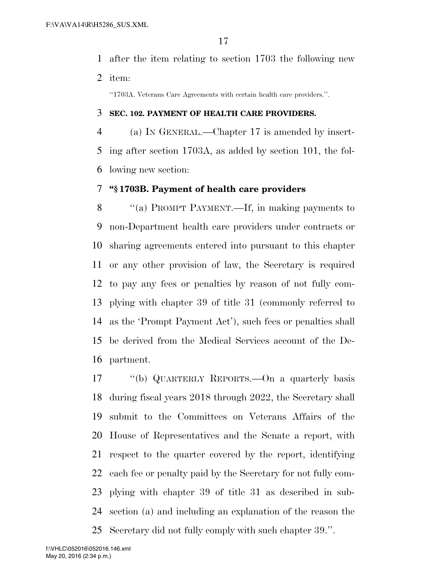after the item relating to section 1703 the following new item:

''1703A. Veterans Care Agreements with certain health care providers.''.

## **SEC. 102. PAYMENT OF HEALTH CARE PROVIDERS.**

 (a) IN GENERAL.—Chapter 17 is amended by insert- ing after section 1703A, as added by section 101, the fol-lowing new section:

# **''§ 1703B. Payment of health care providers**

 ''(a) PROMPT PAYMENT.—If, in making payments to non-Department health care providers under contracts or sharing agreements entered into pursuant to this chapter or any other provision of law, the Secretary is required to pay any fees or penalties by reason of not fully com- plying with chapter 39 of title 31 (commonly referred to as the 'Prompt Payment Act'), such fees or penalties shall be derived from the Medical Services account of the De-partment.

 ''(b) QUARTERLY REPORTS.—On a quarterly basis during fiscal years 2018 through 2022, the Secretary shall submit to the Committees on Veterans Affairs of the House of Representatives and the Senate a report, with respect to the quarter covered by the report, identifying each fee or penalty paid by the Secretary for not fully com- plying with chapter 39 of title 31 as described in sub- section (a) and including an explanation of the reason the Secretary did not fully comply with such chapter 39.''.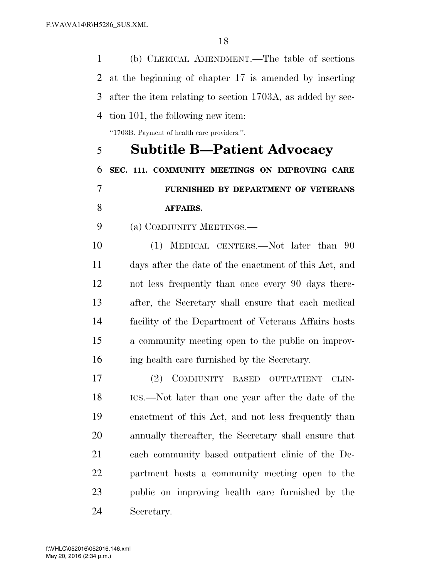(b) CLERICAL AMENDMENT.—The table of sections at the beginning of chapter 17 is amended by inserting after the item relating to section 1703A, as added by sec-tion 101, the following new item:

''1703B. Payment of health care providers.''.

 **Subtitle B—Patient Advocacy SEC. 111. COMMUNITY MEETINGS ON IMPROVING CARE FURNISHED BY DEPARTMENT OF VETERANS AFFAIRS.** 

(a) COMMUNITY MEETINGS.—

 (1) MEDICAL CENTERS.—Not later than 90 days after the date of the enactment of this Act, and not less frequently than once every 90 days there- after, the Secretary shall ensure that each medical facility of the Department of Veterans Affairs hosts a community meeting open to the public on improv-ing health care furnished by the Secretary.

 (2) COMMUNITY BASED OUTPATIENT CLIN- ICS.—Not later than one year after the date of the enactment of this Act, and not less frequently than annually thereafter, the Secretary shall ensure that each community based outpatient clinic of the De- partment hosts a community meeting open to the public on improving health care furnished by the Secretary.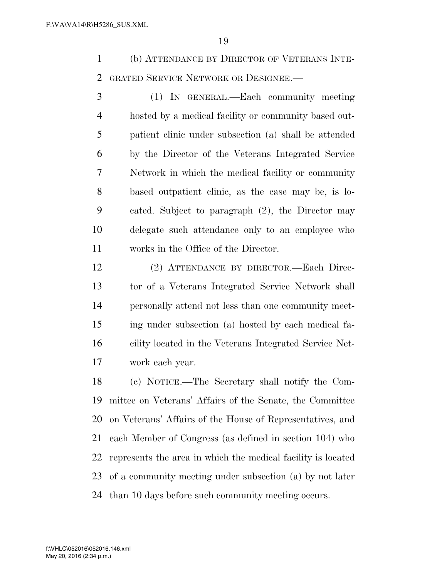(b) ATTENDANCE BY DIRECTOR OF VETERANS INTE-GRATED SERVICE NETWORK OR DESIGNEE.—

 (1) IN GENERAL.—Each community meeting hosted by a medical facility or community based out- patient clinic under subsection (a) shall be attended by the Director of the Veterans Integrated Service Network in which the medical facility or community based outpatient clinic, as the case may be, is lo- cated. Subject to paragraph (2), the Director may delegate such attendance only to an employee who works in the Office of the Director.

 (2) ATTENDANCE BY DIRECTOR.—Each Direc- tor of a Veterans Integrated Service Network shall personally attend not less than one community meet- ing under subsection (a) hosted by each medical fa- cility located in the Veterans Integrated Service Net-work each year.

 (c) NOTICE.—The Secretary shall notify the Com- mittee on Veterans' Affairs of the Senate, the Committee on Veterans' Affairs of the House of Representatives, and each Member of Congress (as defined in section 104) who represents the area in which the medical facility is located of a community meeting under subsection (a) by not later than 10 days before such community meeting occurs.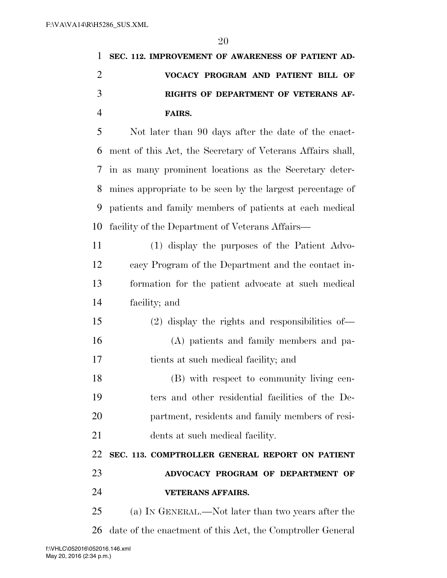| 1 SEC. 112. IMPROVEMENT OF AWARENESS OF PATIENT AD- |
|-----------------------------------------------------|
| VOCACY PROGRAM AND PATIENT BILL OF                  |
| RIGHTS OF DEPARTMENT OF VETERANS AF-                |
| FAIRS.                                              |

 Not later than 90 days after the date of the enact- ment of this Act, the Secretary of Veterans Affairs shall, in as many prominent locations as the Secretary deter- mines appropriate to be seen by the largest percentage of patients and family members of patients at each medical facility of the Department of Veterans Affairs—

 (1) display the purposes of the Patient Advo- cacy Program of the Department and the contact in- formation for the patient advocate at such medical facility; and

 (2) display the rights and responsibilities of— (A) patients and family members and pa-tients at such medical facility; and

 (B) with respect to community living cen- ters and other residential facilities of the De- partment, residents and family members of resi-dents at such medical facility.

**SEC. 113. COMPTROLLER GENERAL REPORT ON PATIENT** 

 **ADVOCACY PROGRAM OF DEPARTMENT OF VETERANS AFFAIRS.** 

(a) IN GENERAL.—Not later than two years after the

date of the enactment of this Act, the Comptroller General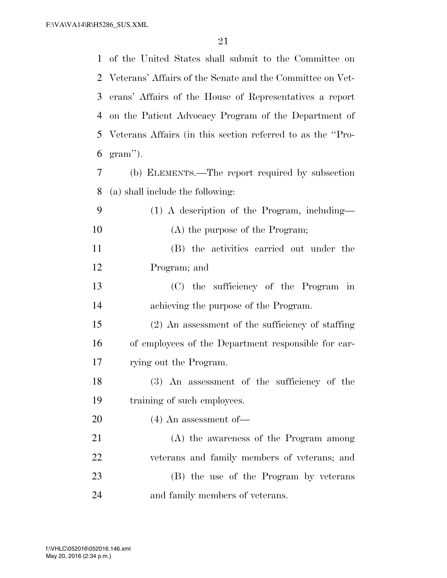|    | 1 of the United States shall submit to the Committee on     |
|----|-------------------------------------------------------------|
|    | 2 Veterans' Affairs of the Senate and the Committee on Vet- |
| 3  | erans' Affairs of the House of Representatives a report     |
| 4  | on the Patient Advocacy Program of the Department of        |
| 5  | Veterans Affairs (in this section referred to as the "Pro-  |
| 6  | $gram$ ").                                                  |
| 7  | (b) ELEMENTS.—The report required by subsection             |
| 8  | (a) shall include the following:                            |
| 9  | (1) A description of the Program, including—                |
| 10 | (A) the purpose of the Program;                             |
| 11 | (B) the activities carried out under the                    |
| 12 | Program; and                                                |
| 13 | (C) the sufficiency of the Program in                       |
| 14 | achieving the purpose of the Program.                       |
| 15 | $(2)$ An assessment of the sufficiency of staffing          |
| 16 | of employees of the Department responsible for car-         |
| 17 | rying out the Program.                                      |
| 18 | (3) An assessment of the sufficiency of the                 |
| 19 | training of such employees.                                 |
| 20 | $(4)$ An assessment of —                                    |
| 21 | (A) the awareness of the Program among                      |
| 22 | veterans and family members of veterans; and                |
| 23 | (B) the use of the Program by veterans                      |
| 24 | and family members of veterans.                             |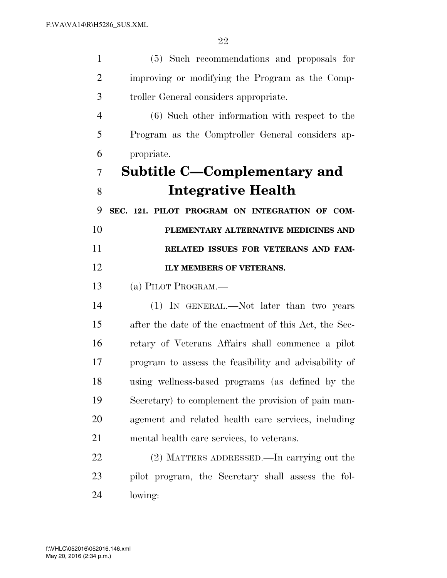| $\mathbf{1}$   | (5) Such recommendations and proposals for            |
|----------------|-------------------------------------------------------|
| 2              | improving or modifying the Program as the Comp-       |
| 3              | troller General considers appropriate.                |
| $\overline{4}$ | (6) Such other information with respect to the        |
| 5              | Program as the Comptroller General considers ap-      |
| 6              | propriate.                                            |
| 7              | Subtitle C—Complementary and                          |
| 8              | <b>Integrative Health</b>                             |
| 9              | SEC. 121. PILOT PROGRAM ON INTEGRATION OF COM-        |
| 10             | PLEMENTARY ALTERNATIVE MEDICINES AND                  |
| 11             | RELATED ISSUES FOR VETERANS AND FAM-                  |
| 12             | ILY MEMBERS OF VETERANS.                              |
| 13             | (a) PILOT PROGRAM.—                                   |
| 14             | (1) IN GENERAL.—Not later than two years              |
| 15             | after the date of the enactment of this Act, the Sec- |
| 16             | retary of Veterans Affairs shall commence a pilot     |
| 17             | program to assess the feasibility and advisability of |
| 18             | using wellness-based programs (as defined by the      |
| 19             | Secretary) to complement the provision of pain man-   |
| 20             | agement and related health care services, including   |
| 21             | mental health care services, to veterans.             |
| 22             | (2) MATTERS ADDRESSED.—In carrying out the            |
| 23             | pilot program, the Secretary shall assess the fol-    |
| 24             | lowing:                                               |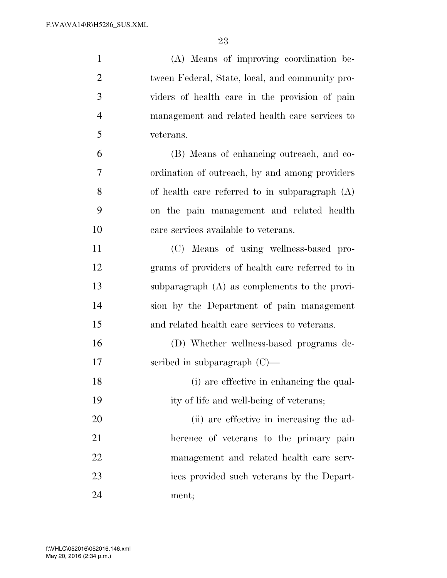| $\mathbf{1}$   | (A) Means of improving coordination be-          |
|----------------|--------------------------------------------------|
| $\overline{2}$ | tween Federal, State, local, and community pro-  |
| 3              | viders of health care in the provision of pain   |
| $\overline{4}$ | management and related health care services to   |
| 5              | veterans.                                        |
| 6              | (B) Means of enhancing outreach, and co-         |
| 7              | ordination of outreach, by and among providers   |
| 8              | of health care referred to in subparagraph (A)   |
| 9              | on the pain management and related health        |
| 10             | care services available to veterans.             |
| 11             | (C) Means of using wellness-based pro-           |
| 12             | grams of providers of health care referred to in |
| 13             | subparagraph (A) as complements to the provi-    |
| 14             | sion by the Department of pain management        |
| 15             | and related health care services to veterans.    |
| 16             | (D) Whether wellness-based programs de-          |
| 17             | scribed in subparagraph $(C)$ —                  |
| 18             | (i) are effective in enhancing the qual-         |
| 19             | ity of life and well-being of veterans;          |
| 20             | (ii) are effective in increasing the ad-         |
| 21             | herence of veterans to the primary pain          |
| 22             | management and related health care serv-         |
| 23             | ices provided such veterans by the Depart-       |
| 24             | ment;                                            |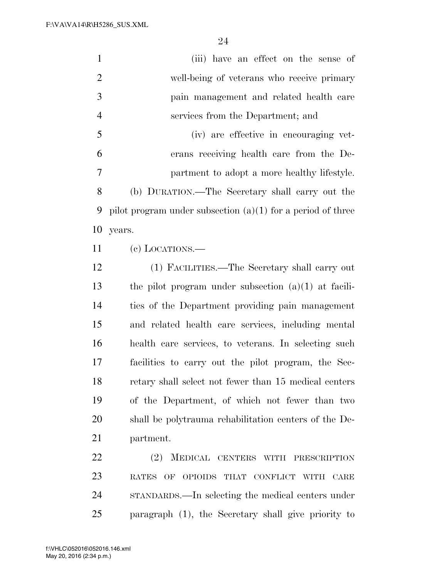| $\mathbf{1}$   | (iii) have an effect on the sense of                          |
|----------------|---------------------------------------------------------------|
| $\overline{2}$ | well-being of veterans who receive primary                    |
| 3              | pain management and related health care                       |
| $\overline{4}$ | services from the Department; and                             |
| 5              | (iv) are effective in encouraging vet-                        |
| 6              | erans receiving health care from the De-                      |
| 7              | partment to adopt a more healthy lifestyle.                   |
| 8              | (b) DURATION.—The Secretary shall carry out the               |
| 9              | pilot program under subsection $(a)(1)$ for a period of three |
| 10             | years.                                                        |
| 11             | $(e)$ LOCATIONS.—                                             |
| 12             | (1) FACILITIES.—The Secretary shall carry out                 |
| 13             | the pilot program under subsection $(a)(1)$ at facili-        |
| 14             | ties of the Department providing pain management              |
| 15             | and related health care services, including mental            |
| 16             | health care services, to veterans. In selecting such          |
| 17             | facilities to carry out the pilot program, the Sec-           |
| 18             | retary shall select not fewer than 15 medical centers         |
| 19             | of the Department, of which not fewer than two                |
| 20             | shall be polytrauma rehabilitation centers of the De-         |
| 21             | partment.                                                     |
| 22             | (2) MEDICAL CENTERS WITH PRESCRIPTION                         |
| 23             | RATES OF OPIOIDS THAT CONFLICT WITH<br>CARE                   |
| 24             | STANDARDS.—In selecting the medical centers under             |
| 25             | paragraph (1), the Secretary shall give priority to           |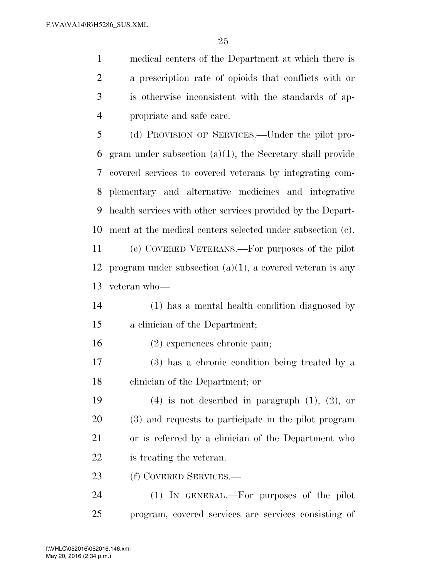medical centers of the Department at which there is a prescription rate of opioids that conflicts with or is otherwise inconsistent with the standards of ap-propriate and safe care.

 (d) PROVISION OF SERVICES.—Under the pilot pro- gram under subsection (a)(1), the Secretary shall provide covered services to covered veterans by integrating com- plementary and alternative medicines and integrative health services with other services provided by the Depart-ment at the medical centers selected under subsection (c).

 (e) COVERED VETERANS.—For purposes of the pilot program under subsection (a)(1), a covered veteran is any veteran who—

 (1) has a mental health condition diagnosed by a clinician of the Department;

(2) experiences chronic pain;

 (3) has a chronic condition being treated by a clinician of the Department; or

19 (4) is not described in paragraph  $(1)$ ,  $(2)$ , or (3) and requests to participate in the pilot program or is referred by a clinician of the Department who is treating the veteran.

(f) COVERED SERVICES.—

 (1) IN GENERAL.—For purposes of the pilot program, covered services are services consisting of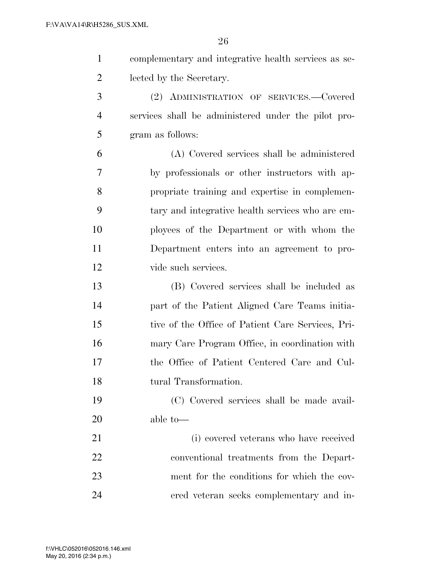| complementary and integrative health services as se- |
|------------------------------------------------------|
| lected by the Secretary.                             |
| $(9)$ Aproximation $(9)$ or $(9)$ $(9)$ $(9)$        |

 (2) ADMINISTRATION OF SERVICES.—Covered services shall be administered under the pilot pro-gram as follows:

 (A) Covered services shall be administered by professionals or other instructors with ap- propriate training and expertise in complemen- tary and integrative health services who are em- ployees of the Department or with whom the Department enters into an agreement to pro-vide such services.

 (B) Covered services shall be included as part of the Patient Aligned Care Teams initia- tive of the Office of Patient Care Services, Pri- mary Care Program Office, in coordination with the Office of Patient Centered Care and Cul-tural Transformation.

 (C) Covered services shall be made avail-able to—

 (i) covered veterans who have received conventional treatments from the Depart- ment for the conditions for which the cov-ered veteran seeks complementary and in-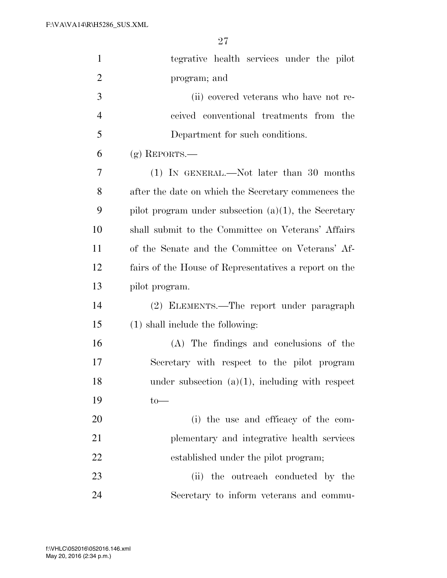| $\mathbf{1}$   | tegrative health services under the pilot               |
|----------------|---------------------------------------------------------|
| $\overline{2}$ | program; and                                            |
| 3              | (ii) covered veterans who have not re-                  |
| $\overline{4}$ | ceived conventional treatments from the                 |
| 5              | Department for such conditions.                         |
| 6              | $(g)$ REPORTS.—                                         |
| 7              | (1) IN GENERAL.—Not later than 30 months                |
| 8              | after the date on which the Secretary commences the     |
| 9              | pilot program under subsection $(a)(1)$ , the Secretary |
| 10             | shall submit to the Committee on Veterans' Affairs      |
| 11             | of the Senate and the Committee on Veterans' Af-        |
| 12             | fairs of the House of Representatives a report on the   |
| 13             | pilot program.                                          |
| 14             | (2) ELEMENTS.—The report under paragraph                |
| 15             | $(1)$ shall include the following:                      |
| 16             | (A) The findings and conclusions of the                 |
| 17             | Secretary with respect to the pilot program             |
| 18             | under subsection $(a)(1)$ , including with respect      |
| 19             | $to-$                                                   |
| 20             | (i) the use and efficacy of the com-                    |
| 21             | plementary and integrative health services              |
| 22             | established under the pilot program;                    |
| 23             | (ii) the outreach conducted by the                      |
| 24             | Secretary to inform veterans and commu-                 |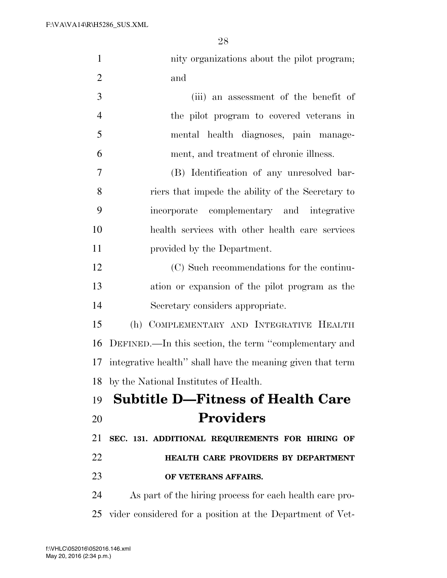| $\mathbf{1}$   | nity organizations about the pilot program;                |
|----------------|------------------------------------------------------------|
| $\overline{2}$ | and                                                        |
| 3              | (iii) an assessment of the benefit of                      |
| $\overline{4}$ | the pilot program to covered veterans in                   |
| 5              | mental health diagnoses, pain manage-                      |
| 6              | ment, and treatment of chronic illness.                    |
| 7              | (B) Identification of any unresolved bar-                  |
| 8              | riers that impede the ability of the Secretary to          |
| 9              | incorporate complementary and integrative                  |
| 10             | health services with other health care services            |
| 11             | provided by the Department.                                |
| 12             | (C) Such recommendations for the continu-                  |
| 13             | ation or expansion of the pilot program as the             |
| 14             | Secretary considers appropriate.                           |
| 15             | (h) COMPLEMENTARY AND INTEGRATIVE HEALTH                   |
| 16             | DEFINED.—In this section, the term "complementary and      |
| 17             | integrative health" shall have the meaning given that term |
| 18             | by the National Institutes of Health.                      |
| 19             | <b>Subtitle D-Fitness of Health Care</b>                   |
| 20             | <b>Providers</b>                                           |
| 21             | SEC. 131. ADDITIONAL REQUIREMENTS FOR HIRING OF            |
| 22             | HEALTH CARE PROVIDERS BY DEPARTMENT                        |
| 23             | OF VETERANS AFFAIRS.                                       |
| 24             | As part of the hiring process for each health care pro-    |

vider considered for a position at the Department of Vet-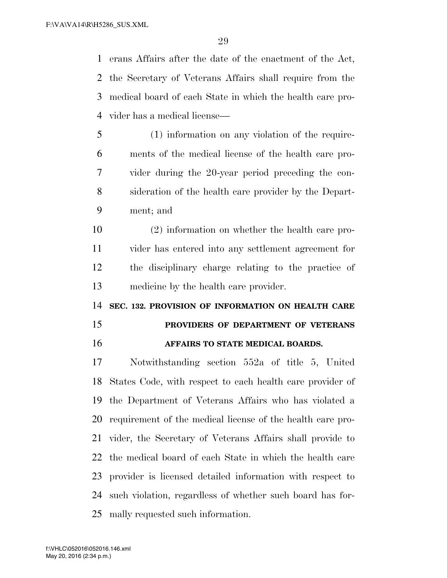erans Affairs after the date of the enactment of the Act, the Secretary of Veterans Affairs shall require from the medical board of each State in which the health care pro-vider has a medical license—

- (1) information on any violation of the require- ments of the medical license of the health care pro- vider during the 20-year period preceding the con- sideration of the health care provider by the Depart-ment; and
- (2) information on whether the health care pro- vider has entered into any settlement agreement for the disciplinary charge relating to the practice of medicine by the health care provider.

**SEC. 132. PROVISION OF INFORMATION ON HEALTH CARE** 

# **PROVIDERS OF DEPARTMENT OF VETERANS AFFAIRS TO STATE MEDICAL BOARDS.**

 Notwithstanding section 552a of title 5, United States Code, with respect to each health care provider of the Department of Veterans Affairs who has violated a requirement of the medical license of the health care pro- vider, the Secretary of Veterans Affairs shall provide to the medical board of each State in which the health care provider is licensed detailed information with respect to such violation, regardless of whether such board has for-mally requested such information.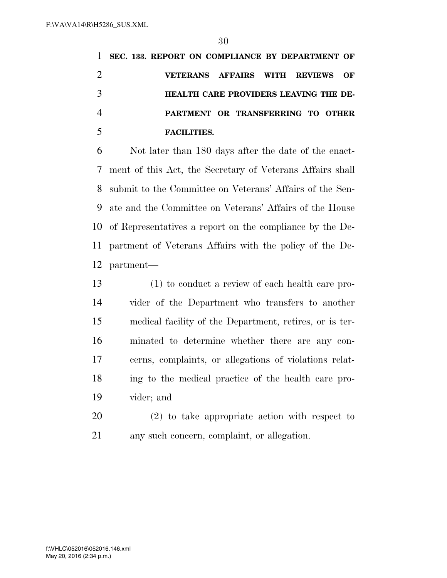**SEC. 133. REPORT ON COMPLIANCE BY DEPARTMENT OF VETERANS AFFAIRS WITH REVIEWS OF HEALTH CARE PROVIDERS LEAVING THE DE- PARTMENT OR TRANSFERRING TO OTHER FACILITIES.** 

 Not later than 180 days after the date of the enact- ment of this Act, the Secretary of Veterans Affairs shall submit to the Committee on Veterans' Affairs of the Sen- ate and the Committee on Veterans' Affairs of the House of Representatives a report on the compliance by the De- partment of Veterans Affairs with the policy of the De-partment—

 (1) to conduct a review of each health care pro- vider of the Department who transfers to another medical facility of the Department, retires, or is ter- minated to determine whether there are any con- cerns, complaints, or allegations of violations relat- ing to the medical practice of the health care pro-vider; and

 (2) to take appropriate action with respect to any such concern, complaint, or allegation.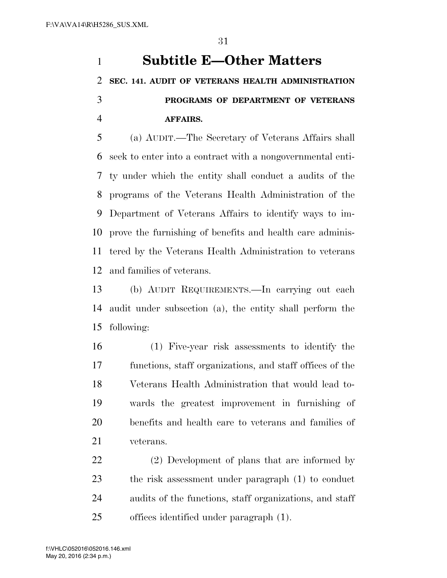# **Subtitle E—Other Matters SEC. 141. AUDIT OF VETERANS HEALTH ADMINISTRATION PROGRAMS OF DEPARTMENT OF VETERANS AFFAIRS.**

 (a) AUDIT.—The Secretary of Veterans Affairs shall seek to enter into a contract with a nongovernmental enti- ty under which the entity shall conduct a audits of the programs of the Veterans Health Administration of the Department of Veterans Affairs to identify ways to im- prove the furnishing of benefits and health care adminis- tered by the Veterans Health Administration to veterans and families of veterans.

 (b) AUDIT REQUIREMENTS.—In carrying out each audit under subsection (a), the entity shall perform the following:

 (1) Five-year risk assessments to identify the functions, staff organizations, and staff offices of the Veterans Health Administration that would lead to- wards the greatest improvement in furnishing of benefits and health care to veterans and families of veterans.

 (2) Development of plans that are informed by the risk assessment under paragraph (1) to conduct audits of the functions, staff organizations, and staff offices identified under paragraph (1).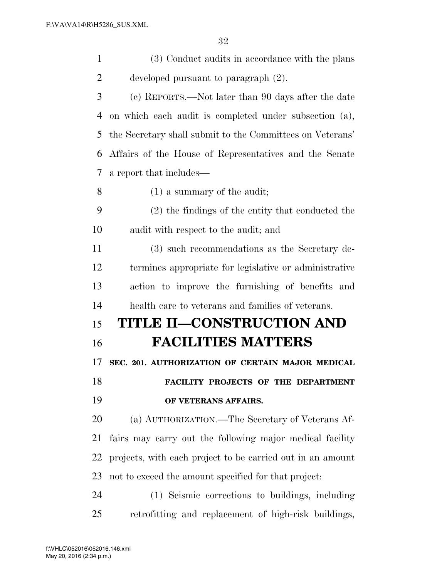| $\mathbf{1}$   | (3) Conduct audits in accordance with the plans            |
|----------------|------------------------------------------------------------|
| $\overline{2}$ | developed pursuant to paragraph (2).                       |
| 3              | (c) REPORTS.—Not later than 90 days after the date         |
| 4              | on which each audit is completed under subsection (a),     |
| 5              | the Secretary shall submit to the Committees on Veterans'  |
| 6              | Affairs of the House of Representatives and the Senate     |
| 7              | a report that includes—                                    |
| 8              | $(1)$ a summary of the audit;                              |
| 9              | (2) the findings of the entity that conducted the          |
| 10             | audit with respect to the audit; and                       |
| 11             | (3) such recommendations as the Secretary de-              |
| 12             | termines appropriate for legislative or administrative     |
| 13             | action to improve the furnishing of benefits and           |
| 14             | health care to veterans and families of veterans.          |
| 15             | TITLE II—CONSTRUCTION AND                                  |
| 16             | <b>FACILITIES MATTERS</b>                                  |
| 17             | SEC. 201. AUTHORIZATION OF CERTAIN MAJOR MEDICAL           |
| 18             | FACILITY PROJECTS OF THE DEPARTMENT                        |
| 19             | OF VETERANS AFFAIRS.                                       |
| 20             | (a) AUTHORIZATION.—The Secretary of Veterans Af-           |
| 21             | fairs may carry out the following major medical facility   |
| 22             | projects, with each project to be carried out in an amount |
| 23             | not to exceed the amount specified for that project:       |
| 24             | (1) Seismic corrections to buildings, including            |
| 25             | retrofitting and replacement of high-risk buildings,       |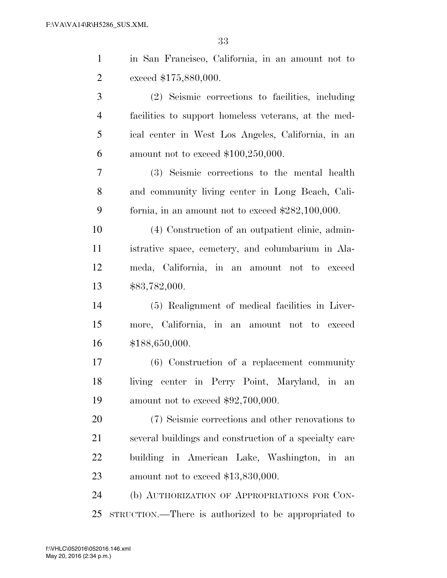| $\mathbf{1}$   | in San Francisco, California, in an amount not to      |
|----------------|--------------------------------------------------------|
| $\overline{2}$ | exceed \$175,880,000.                                  |
| 3              | (2) Seismic corrections to facilities, including       |
| $\overline{4}$ | facilities to support homeless veterans, at the med-   |
| 5              | ical center in West Los Angeles, California, in an     |
| 6              | amount not to exceed $$100,250,000$ .                  |
| $\tau$         | (3) Seismic corrections to the mental health           |
| 8              | and community living center in Long Beach, Cali-       |
| 9              | formia, in an amount not to exceed $$282,100,000$ .    |
| 10             | (4) Construction of an outpatient clinic, admin-       |
| 11             | istrative space, cemetery, and columbarium in Ala-     |
| 12             | meda, California, in an amount not to exceed           |
| 13             | \$83,782,000.                                          |
| 14             | (5) Realignment of medical facilities in Liver-        |
| 15             | more, California, in an amount not to exceed           |
| 16             | \$188,650,000.                                         |
| 17             | $(6)$ Construction of a replacement community          |
| 18             | living center in Perry Point, Maryland, in an          |
| 19             | amount not to exceed $$92,700,000$ .                   |
| 20             | (7) Seismic corrections and other renovations to       |
| 21             | several buildings and construction of a specialty care |
| 22             | building in American Lake, Washington, in an           |
| 23             | amount not to exceed $$13,830,000$ .                   |
| 24             | (b) AUTHORIZATION OF APPROPRIATIONS FOR CON-           |
| 25             | STRUCTION.—There is authorized to be appropriated to   |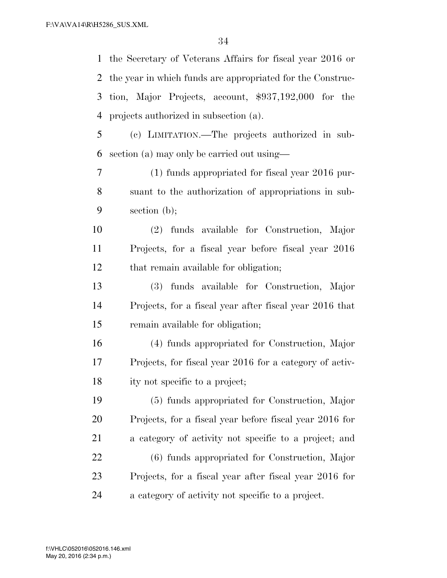the Secretary of Veterans Affairs for fiscal year 2016 or the year in which funds are appropriated for the Construc- tion, Major Projects, account, \$937,192,000 for the projects authorized in subsection (a).

 (c) LIMITATION.—The projects authorized in sub-section (a) may only be carried out using—

 (1) funds appropriated for fiscal year 2016 pur- suant to the authorization of appropriations in sub-section (b);

 (2) funds available for Construction, Major Projects, for a fiscal year before fiscal year 2016 that remain available for obligation;

 (3) funds available for Construction, Major Projects, for a fiscal year after fiscal year 2016 that remain available for obligation;

 (4) funds appropriated for Construction, Major Projects, for fiscal year 2016 for a category of activ-ity not specific to a project;

 (5) funds appropriated for Construction, Major Projects, for a fiscal year before fiscal year 2016 for a category of activity not specific to a project; and (6) funds appropriated for Construction, Major Projects, for a fiscal year after fiscal year 2016 for a category of activity not specific to a project.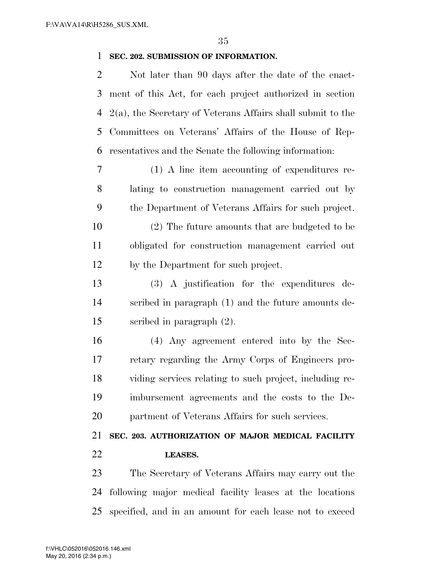## **SEC. 202. SUBMISSION OF INFORMATION.**

 Not later than 90 days after the date of the enact- ment of this Act, for each project authorized in section 2(a), the Secretary of Veterans Affairs shall submit to the Committees on Veterans' Affairs of the House of Rep-resentatives and the Senate the following information:

 (1) A line item accounting of expenditures re- lating to construction management carried out by the Department of Veterans Affairs for such project.

 (2) The future amounts that are budgeted to be obligated for construction management carried out by the Department for such project.

 (3) A justification for the expenditures de- scribed in paragraph (1) and the future amounts de-scribed in paragraph (2).

 (4) Any agreement entered into by the Sec- retary regarding the Army Corps of Engineers pro- viding services relating to such project, including re- imbursement agreements and the costs to the De-partment of Veterans Affairs for such services.

# **SEC. 203. AUTHORIZATION OF MAJOR MEDICAL FACILITY LEASES.**

 The Secretary of Veterans Affairs may carry out the following major medical facility leases at the locations specified, and in an amount for each lease not to exceed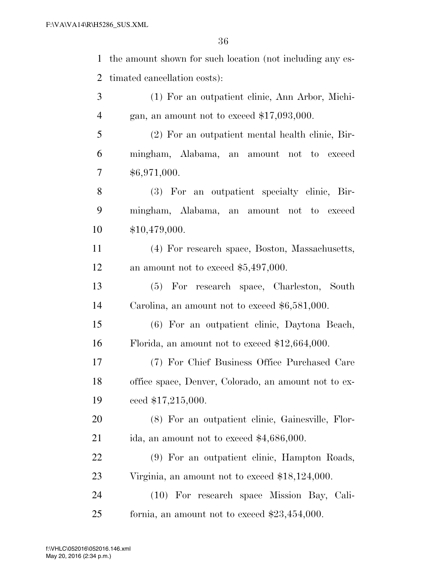| $\mathbf{1}$   | the amount shown for such location (not including any es- |
|----------------|-----------------------------------------------------------|
| $\overline{2}$ | timated cancellation costs):                              |
| 3              | (1) For an outpatient clinic, Ann Arbor, Michi-           |
| $\overline{4}$ | gan, an amount not to exceed $$17,093,000$ .              |
| 5              | (2) For an outpatient mental health clinic, Bir-          |
| 6              | mingham, Alabama, an amount not to exceed                 |
| 7              | \$6,971,000.                                              |
| 8              | (3) For an outpatient specialty clinic, Bir-              |
| 9              | mingham, Alabama, an amount not to exceed                 |
| 10             | \$10,479,000.                                             |
| 11             | (4) For research space, Boston, Massachusetts,            |
| 12             | an amount not to exceed $$5,497,000$ .                    |
| 13             | (5) For research space, Charleston, South                 |
| 14             | Carolina, an amount not to exceed $$6,581,000$ .          |
| 15             | (6) For an outpatient clinic, Daytona Beach,              |
| 16             | Florida, an amount not to exceed $$12,664,000$ .          |
| 17             | (7) For Chief Business Office Purchased Care              |
| 18             | office space, Denver, Colorado, an amount not to ex-      |
| 19             | ceed \$17,215,000.                                        |
| 20             | (8) For an outpatient clinic, Gainesville, Flor-          |
| 21             | ida, an amount not to exceed $$4,686,000$ .               |
| 22             | (9) For an outpatient clinic, Hampton Roads,              |
| 23             | Virginia, an amount not to exceed \$18,124,000.           |
| 24             | (10) For research space Mission Bay, Cali-                |
| 25             | formia, an amount not to exceed $$23,454,000$ .           |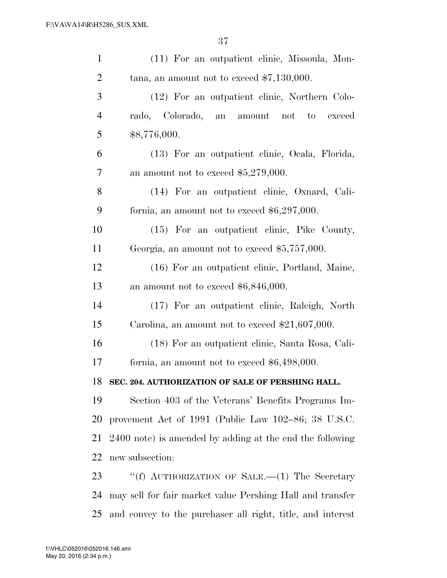| $\mathbf{1}$   | (11) For an outpatient clinic, Missoula, Mon-             |
|----------------|-----------------------------------------------------------|
| $\overline{2}$ | tana, an amount not to exceed $$7,130,000$ .              |
| 3              | (12) For an outpatient clinic, Northern Colo-             |
| $\overline{4}$ | rado, Colorado, an amount<br>not<br>to<br>exceed          |
| 5              | \$8,776,000.                                              |
| 6              | (13) For an outpatient clinic, Ocala, Florida,            |
| 7              | an amount not to exceed $$5,279,000$ .                    |
| 8              | (14) For an outpatient clinic, Oxnard, Cali-              |
| 9              | formia, an amount not to exceed $$6,297,000$ .            |
| 10             | (15) For an outpatient clinic, Pike County,               |
| 11             | Georgia, an amount not to exceed $$5,757,000$ .           |
| 12             | (16) For an outpatient clinic, Portland, Maine,           |
| 13             | an amount not to exceed $$6,846,000$ .                    |
| 14             | (17) For an outpatient clinic, Raleigh, North             |
| 15             | Carolina, an amount not to exceed $$21,607,000$ .         |
| 16             | (18) For an outpatient clinic, Santa Rosa, Cali-          |
| 17             | formia, an amount not to exceed $$6,498,000$ .            |
| 18             | SEC. 204. AUTHORIZATION OF SALE OF PERSHING HALL.         |
| 19             | Section 403 of the Veterans' Benefits Programs Im-        |
| 20             | provement Act of 1991 (Public Law $102-86$ ; 38 U.S.C.    |
| 21             | 2400 note) is amended by adding at the end the following  |
| 22             | new subsection:                                           |
| 23             | "(f) AUTHORIZATION OF SALE.—(1) The Secretary             |
| 24             | may sell for fair market value Pershing Hall and transfer |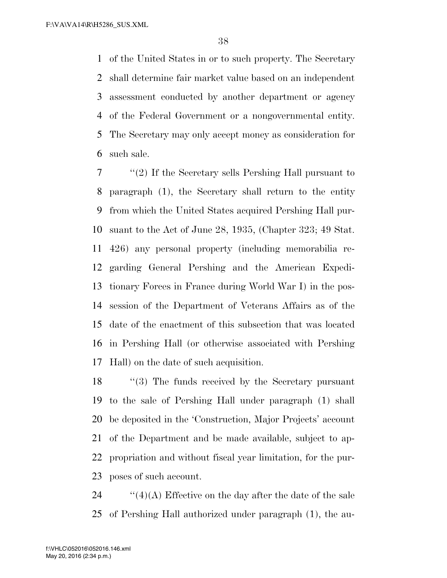of the United States in or to such property. The Secretary shall determine fair market value based on an independent assessment conducted by another department or agency of the Federal Government or a nongovernmental entity. The Secretary may only accept money as consideration for such sale.

 ''(2) If the Secretary sells Pershing Hall pursuant to paragraph (1), the Secretary shall return to the entity from which the United States acquired Pershing Hall pur- suant to the Act of June 28, 1935, (Chapter 323; 49 Stat. 426) any personal property (including memorabilia re- garding General Pershing and the American Expedi- tionary Forces in France during World War I) in the pos- session of the Department of Veterans Affairs as of the date of the enactment of this subsection that was located in Pershing Hall (or otherwise associated with Pershing Hall) on the date of such acquisition.

18 "(3) The funds received by the Secretary pursuant to the sale of Pershing Hall under paragraph (1) shall be deposited in the 'Construction, Major Projects' account of the Department and be made available, subject to ap- propriation and without fiscal year limitation, for the pur-poses of such account.

24  $\cdot$  ''(4)(A) Effective on the day after the date of the sale of Pershing Hall authorized under paragraph (1), the au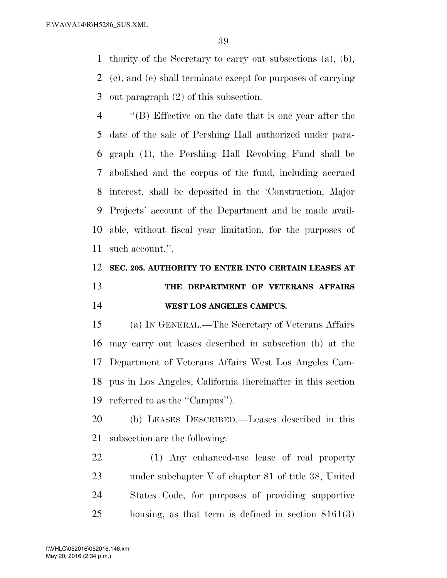thority of the Secretary to carry out subsections (a), (b), (c), and (e) shall terminate except for purposes of carrying out paragraph (2) of this subsection.

 ''(B) Effective on the date that is one year after the date of the sale of Pershing Hall authorized under para- graph (1), the Pershing Hall Revolving Fund shall be abolished and the corpus of the fund, including accrued interest, shall be deposited in the 'Construction, Major Projects' account of the Department and be made avail- able, without fiscal year limitation, for the purposes of such account.''.

## **SEC. 205. AUTHORITY TO ENTER INTO CERTAIN LEASES AT THE DEPARTMENT OF VETERANS AFFAIRS WEST LOS ANGELES CAMPUS.**

 (a) IN GENERAL.—The Secretary of Veterans Affairs may carry out leases described in subsection (b) at the Department of Veterans Affairs West Los Angeles Cam- pus in Los Angeles, California (hereinafter in this section referred to as the ''Campus'').

 (b) LEASES DESCRIBED.—Leases described in this subsection are the following:

 (1) Any enhanced-use lease of real property under subchapter V of chapter 81 of title 38, United States Code, for purposes of providing supportive housing, as that term is defined in section 8161(3)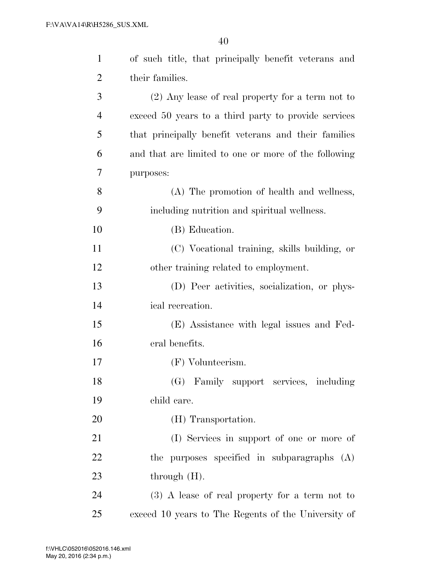| $\mathbf{1}$   | of such title, that principally benefit veterans and |
|----------------|------------------------------------------------------|
| $\overline{2}$ | their families.                                      |
| 3              | $(2)$ Any lease of real property for a term not to   |
| $\overline{4}$ | exceed 50 years to a third party to provide services |
| 5              | that principally benefit veterans and their families |
| 6              | and that are limited to one or more of the following |
| 7              | purposes:                                            |
| 8              | (A) The promotion of health and wellness,            |
| 9              | including nutrition and spiritual wellness.          |
| 10             | (B) Education.                                       |
| 11             | (C) Vocational training, skills building, or         |
| 12             | other training related to employment.                |
| 13             | (D) Peer activities, socialization, or phys-         |
| 14             | ical recreation.                                     |
| 15             | (E) Assistance with legal issues and Fed-            |
| 16             | eral benefits.                                       |
| 17             | (F) Volunteerism.                                    |
| 18             | (G) Family support services, including               |
| 19             | child care.                                          |
| 20             | (H) Transportation.                                  |
| 21             | (I) Services in support of one or more of            |
| 22             | the purposes specified in subparagraphs (A)          |
| 23             | through $(H)$ .                                      |
| 24             | $(3)$ A lease of real property for a term not to     |
| 25             | exceed 10 years to The Regents of the University of  |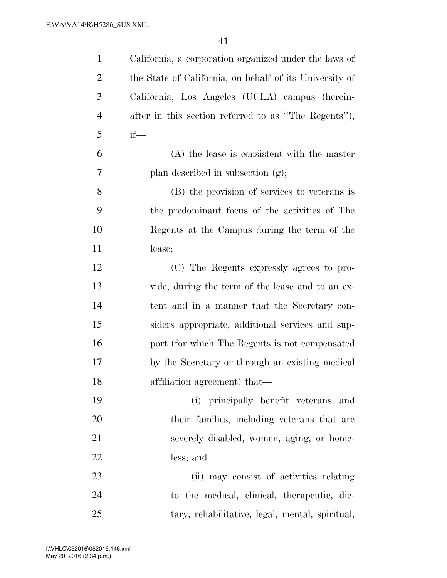| $\mathbf{1}$   | California, a corporation organized under the laws of   |
|----------------|---------------------------------------------------------|
| $\overline{2}$ | the State of California, on behalf of its University of |
| 3              | California, Los Angeles (UCLA) campus (herein-          |
| $\overline{4}$ | after in this section referred to as "The Regents"),    |
| 5              | $if$ —                                                  |
| 6              | $(A)$ the lease is consistent with the master           |
| 7              | plan described in subsection $(g)$ ;                    |
| 8              | (B) the provision of services to veterans is            |
| 9              | the predominant focus of the activities of The          |
| 10             | Regents at the Campus during the term of the            |
| 11             | lease;                                                  |
| 12             | (C) The Regents expressly agrees to pro-                |
| 13             | vide, during the term of the lease and to an ex-        |
| 14             | tent and in a manner that the Secretary con-            |
| 15             | siders appropriate, additional services and sup-        |
| 16             | port (for which The Regents is not compensated          |
| 17             | by the Secretary or through an existing medical         |
| 18             | affiliation agreement) that—                            |
| 19             | (i) principally benefit veterans and                    |
| 20             | their families, including veterans that are             |
| 21             | severely disabled, women, aging, or home-               |
| 22             | less; and                                               |
| 23             | (ii) may consist of activities relating                 |
| 24             | to the medical, clinical, therapeutic, die-             |
| 25             | tary, rehabilitative, legal, mental, spiritual,         |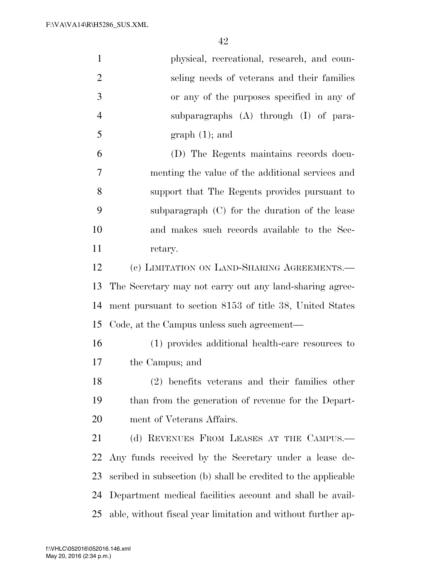| $\mathbf{1}$   | physical, recreational, research, and coun-                   |
|----------------|---------------------------------------------------------------|
| $\overline{2}$ | seling needs of veterans and their families                   |
| 3              | or any of the purposes specified in any of                    |
| $\overline{4}$ | subparagraphs (A) through (I) of para-                        |
| 5              | $graph(1);$ and                                               |
| 6              | (D) The Regents maintains records docu-                       |
| 7              | menting the value of the additional services and              |
| 8              | support that The Regents provides pursuant to                 |
| 9              | subparagraph (C) for the duration of the lease                |
| 10             | and makes such records available to the Sec-                  |
| 11             | retary.                                                       |
| 12             | (c) LIMITATION ON LAND-SHARING AGREEMENTS.—                   |
| 13             | The Secretary may not carry out any land-sharing agree-       |
| 14             | ment pursuant to section 8153 of title 38, United States      |
| 15             | Code, at the Campus unless such agreement—                    |
| 16             | (1) provides additional health-care resources to              |
| 17             | the Campus; and                                               |
| 18             | (2) benefits veterans and their families other                |
| 19             | than from the generation of revenue for the Depart-           |
| 20             | ment of Veterans Affairs.                                     |
| 21             | (d) REVENUES FROM LEASES AT THE CAMPUS.—                      |
| 22             | Any funds received by the Secretary under a lease de-         |
| 23             | scribed in subsection (b) shall be credited to the applicable |
| 24             | Department medical facilities account and shall be avail-     |
| 25             | able, without fiscal year limitation and without further ap-  |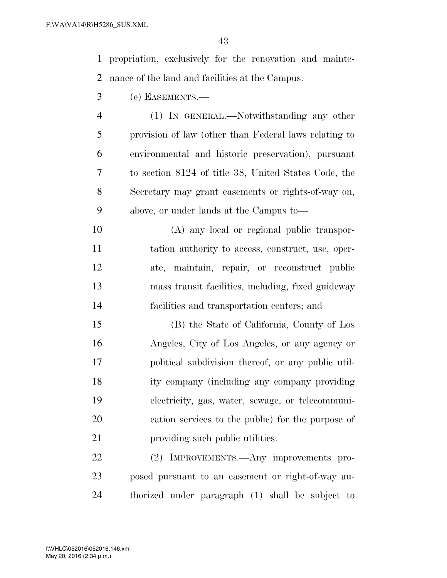propriation, exclusively for the renovation and mainte-nance of the land and facilities at the Campus.

(e) EASEMENTS.—

- (1) IN GENERAL.—Notwithstanding any other provision of law (other than Federal laws relating to environmental and historic preservation), pursuant to section 8124 of title 38, United States Code, the Secretary may grant easements or rights-of-way on, above, or under lands at the Campus to—
- (A) any local or regional public transpor- tation authority to access, construct, use, oper- ate, maintain, repair, or reconstruct public mass transit facilities, including, fixed guideway facilities and transportation centers; and
- (B) the State of California, County of Los Angeles, City of Los Angeles, or any agency or political subdivision thereof, or any public util- ity company (including any company providing electricity, gas, water, sewage, or telecommuni- cation services to the public) for the purpose of 21 providing such public utilities.

 (2) IMPROVEMENTS.—Any improvements pro- posed pursuant to an easement or right-of-way au-thorized under paragraph (1) shall be subject to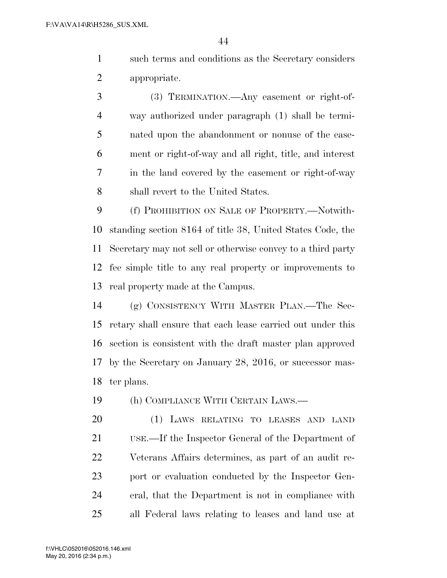such terms and conditions as the Secretary considers appropriate.

 (3) TERMINATION.—Any easement or right-of- way authorized under paragraph (1) shall be termi- nated upon the abandonment or nonuse of the ease- ment or right-of-way and all right, title, and interest in the land covered by the easement or right-of-way shall revert to the United States.

 (f) PROHIBITION ON SALE OF PROPERTY.—Notwith- standing section 8164 of title 38, United States Code, the Secretary may not sell or otherwise convey to a third party fee simple title to any real property or improvements to real property made at the Campus.

 (g) CONSISTENCY WITH MASTER PLAN.—The Sec- retary shall ensure that each lease carried out under this section is consistent with the draft master plan approved by the Secretary on January 28, 2016, or successor mas-ter plans.

(h) COMPLIANCE WITH CERTAIN LAWS.—

 (1) LAWS RELATING TO LEASES AND LAND USE.—If the Inspector General of the Department of Veterans Affairs determines, as part of an audit re- port or evaluation conducted by the Inspector Gen- eral, that the Department is not in compliance with all Federal laws relating to leases and land use at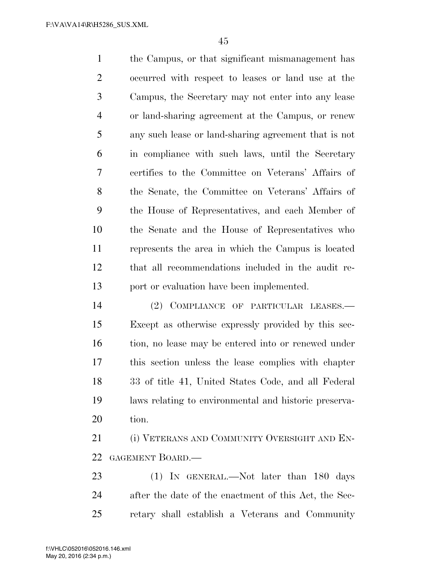the Campus, or that significant mismanagement has occurred with respect to leases or land use at the Campus, the Secretary may not enter into any lease or land-sharing agreement at the Campus, or renew any such lease or land-sharing agreement that is not in compliance with such laws, until the Secretary certifies to the Committee on Veterans' Affairs of the Senate, the Committee on Veterans' Affairs of the House of Representatives, and each Member of the Senate and the House of Representatives who represents the area in which the Campus is located that all recommendations included in the audit re-port or evaluation have been implemented.

 (2) COMPLIANCE OF PARTICULAR LEASES.— Except as otherwise expressly provided by this sec-16 tion, no lease may be entered into or renewed under this section unless the lease complies with chapter 33 of title 41, United States Code, and all Federal laws relating to environmental and historic preserva-tion.

 (i) VETERANS AND COMMUNITY OVERSIGHT AND EN-GAGEMENT BOARD.—

23 (1) IN GENERAL.—Not later than 180 days after the date of the enactment of this Act, the Sec-retary shall establish a Veterans and Community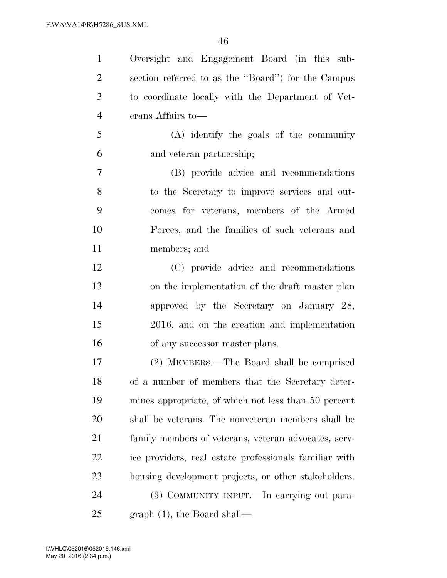| $\mathbf{1}$   | Oversight and Engagement Board (in this sub-           |
|----------------|--------------------------------------------------------|
| $\overline{2}$ | section referred to as the "Board") for the Campus     |
| 3              | to coordinate locally with the Department of Vet-      |
| $\overline{4}$ | erans Affairs to-                                      |
| 5              | (A) identify the goals of the community                |
| 6              | and veteran partnership;                               |
| $\overline{7}$ | (B) provide advice and recommendations                 |
| 8              | to the Secretary to improve services and out-          |
| 9              | comes for veterans, members of the Armed               |
| 10             | Forces, and the families of such veterans and          |
| 11             | members; and                                           |
| 12             | (C) provide advice and recommendations                 |
| 13             | on the implementation of the draft master plan         |
| 14             | approved by the Secretary on January 28,               |
| 15             | 2016, and on the creation and implementation           |
| 16             | of any successor master plans.                         |
| 17             | (2) MEMBERS.—The Board shall be comprised              |
| 18             | of a number of members that the Secretary deter-       |
| 19             | mines appropriate, of which not less than 50 percent   |
| 20             | shall be veterans. The nonveteran members shall be     |
| 21             | family members of veterans, veteran advocates, serv-   |
| 22             | ice providers, real estate professionals familiar with |
| 23             | housing development projects, or other stakeholders.   |
| 24             | (3) COMMUNITY INPUT.—In carrying out para-             |
| 25             | graph $(1)$ , the Board shall—                         |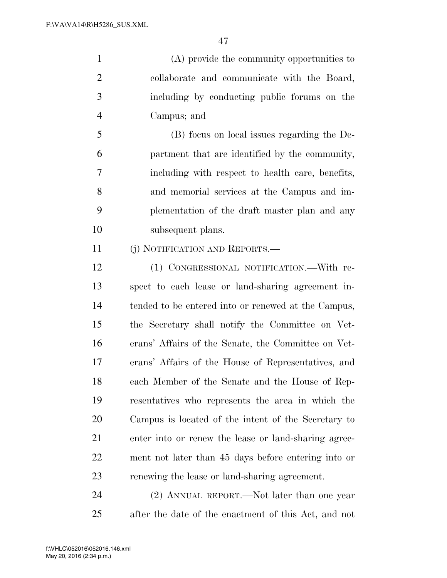(A) provide the community opportunities to collaborate and communicate with the Board, including by conducting public forums on the Campus; and

 (B) focus on local issues regarding the De- partment that are identified by the community, including with respect to health care, benefits, and memorial services at the Campus and im- plementation of the draft master plan and any subsequent plans.

(j) NOTIFICATION AND REPORTS.—

 (1) CONGRESSIONAL NOTIFICATION.—With re- spect to each lease or land-sharing agreement in- tended to be entered into or renewed at the Campus, the Secretary shall notify the Committee on Vet- erans' Affairs of the Senate, the Committee on Vet- erans' Affairs of the House of Representatives, and each Member of the Senate and the House of Rep- resentatives who represents the area in which the Campus is located of the intent of the Secretary to enter into or renew the lease or land-sharing agree- ment not later than 45 days before entering into or renewing the lease or land-sharing agreement.

 (2) ANNUAL REPORT.—Not later than one year after the date of the enactment of this Act, and not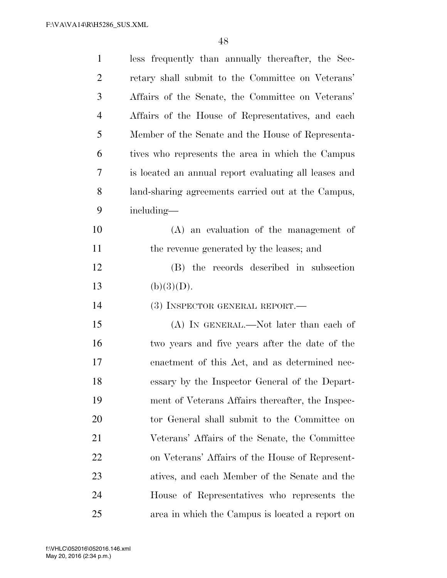| $\mathbf{1}$   | less frequently than annually thereafter, the Sec-    |
|----------------|-------------------------------------------------------|
| $\overline{2}$ | retary shall submit to the Committee on Veterans'     |
| 3              | Affairs of the Senate, the Committee on Veterans'     |
| $\overline{4}$ | Affairs of the House of Representatives, and each     |
| 5              | Member of the Senate and the House of Representa-     |
| 6              | tives who represents the area in which the Campus     |
| 7              | is located an annual report evaluating all leases and |
| 8              | land-sharing agreements carried out at the Campus,    |
| 9              | including—                                            |
| 10             | $(A)$ an evaluation of the management of              |
| 11             | the revenue generated by the leases; and              |
| 12             | (B) the records described in subsection               |
|                |                                                       |
| 13             | (b)(3)(D).                                            |
| 14             | (3) INSPECTOR GENERAL REPORT.—                        |
| 15             | (A) IN GENERAL.—Not later than each of                |
| 16             | two years and five years after the date of the        |
| 17             | enactment of this Act, and as determined nec-         |
| 18             | essary by the Inspector General of the Depart-        |
| 19             | ment of Veterans Affairs thereafter, the Inspec-      |
| 20             | tor General shall submit to the Committee on          |
| 21             | Veterans' Affairs of the Senate, the Committee        |
| 22             | on Veterans' Affairs of the House of Represent-       |
| 23             | atives, and each Member of the Senate and the         |
| 24             | House of Representatives who represents the           |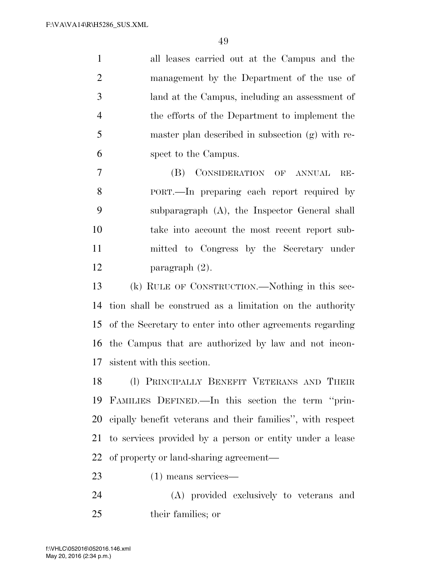all leases carried out at the Campus and the management by the Department of the use of land at the Campus, including an assessment of the efforts of the Department to implement the master plan described in subsection (g) with re-spect to the Campus.

 (B) CONSIDERATION OF ANNUAL RE- PORT.—In preparing each report required by subparagraph (A), the Inspector General shall take into account the most recent report sub- mitted to Congress by the Secretary under paragraph (2).

 (k) RULE OF CONSTRUCTION.—Nothing in this sec- tion shall be construed as a limitation on the authority of the Secretary to enter into other agreements regarding the Campus that are authorized by law and not incon-sistent with this section.

 (l) PRINCIPALLY BENEFIT VETERANS AND THEIR FAMILIES DEFINED.—In this section the term ''prin- cipally benefit veterans and their families'', with respect to services provided by a person or entity under a lease of property or land-sharing agreement—

(1) means services—

 (A) provided exclusively to veterans and their families; or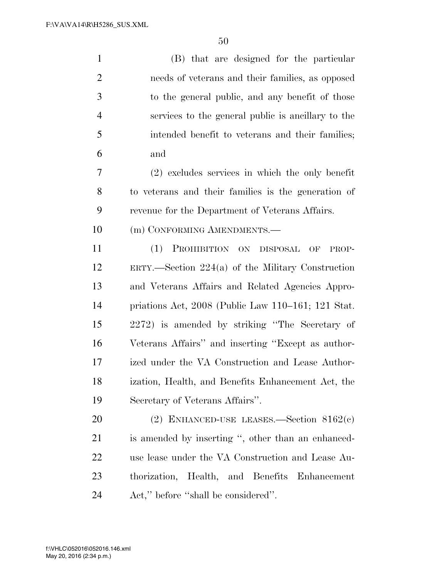(B) that are designed for the particular needs of veterans and their families, as opposed to the general public, and any benefit of those services to the general public is ancillary to the intended benefit to veterans and their families; and (2) excludes services in which the only benefit to veterans and their families is the generation of revenue for the Department of Veterans Affairs. 10 (m) CONFORMING AMENDMENTS.— (1) PROHIBITION ON DISPOSAL OF PROP- ERTY.—Section 224(a) of the Military Construction and Veterans Affairs and Related Agencies Appro- priations Act, 2008 (Public Law 110–161; 121 Stat. 2272) is amended by striking ''The Secretary of Veterans Affairs'' and inserting ''Except as author- ized under the VA Construction and Lease Author- ization, Health, and Benefits Enhancement Act, the Secretary of Veterans Affairs''. (2) ENHANCED-USE LEASES.—Section 8162(c) is amended by inserting '', other than an enhanced-use lease under the VA Construction and Lease Au-

Act,'' before ''shall be considered''.

thorization, Health, and Benefits Enhancement

May 20, 2016 (2:34 p.m.) f:\VHLC\052016\052016.146.xml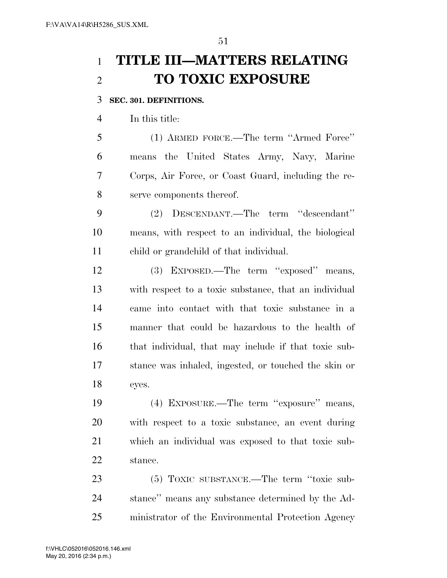# **TITLE III—MATTERS RELATING TO TOXIC EXPOSURE**

### **SEC. 301. DEFINITIONS.**

In this title:

 (1) ARMED FORCE.—The term ''Armed Force'' means the United States Army, Navy, Marine Corps, Air Force, or Coast Guard, including the re-serve components thereof.

 (2) DESCENDANT.—The term ''descendant'' means, with respect to an individual, the biological child or grandchild of that individual.

 (3) EXPOSED.—The term ''exposed'' means, with respect to a toxic substance, that an individual came into contact with that toxic substance in a manner that could be hazardous to the health of that individual, that may include if that toxic sub- stance was inhaled, ingested, or touched the skin or eyes.

 (4) EXPOSURE.—The term ''exposure'' means, with respect to a toxic substance, an event during which an individual was exposed to that toxic sub-stance.

 (5) TOXIC SUBSTANCE.—The term ''toxic sub- stance'' means any substance determined by the Ad-ministrator of the Environmental Protection Agency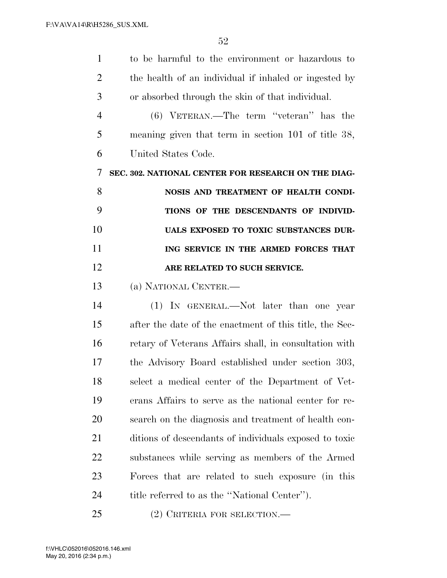| $\mathbf{1}$   | to be harmful to the environment or hazardous to        |
|----------------|---------------------------------------------------------|
| $\overline{2}$ | the health of an individual if inhaled or ingested by   |
| 3              | or absorbed through the skin of that individual.        |
| $\overline{4}$ | $(6)$ VETERAN.—The term "veteran" has the               |
| 5              | meaning given that term in section 101 of title 38,     |
| 6              | United States Code.                                     |
| 7              | SEC. 302. NATIONAL CENTER FOR RESEARCH ON THE DIAG-     |
| 8              | NOSIS AND TREATMENT OF HEALTH CONDI-                    |
| 9              | TIONS OF THE DESCENDANTS OF INDIVID-                    |
| 10             | UALS EXPOSED TO TOXIC SUBSTANCES DUR-                   |
| 11             | ING SERVICE IN THE ARMED FORCES THAT                    |
| 12             | ARE RELATED TO SUCH SERVICE.                            |
| 13             | (a) NATIONAL CENTER.—                                   |
| 14             | (1) IN GENERAL.—Not later than one year                 |
| 15             | after the date of the enactment of this title, the Sec- |
| 16             | retary of Veterans Affairs shall, in consultation with  |
| 17             | the Advisory Board established under section 303,       |
| 18             | select a medical center of the Department of Vet-       |
| 19             | erans Affairs to serve as the national center for re-   |
| <b>20</b>      | search on the diagnosis and treatment of health con-    |
| 21             | ditions of descendants of individuals exposed to toxic  |
| 22             | substances while serving as members of the Armed        |
| 23             | Forces that are related to such exposure (in this       |
| 24             | title referred to as the "National Center").            |
| 25             | $(2)$ CRITERIA FOR SELECTION.—                          |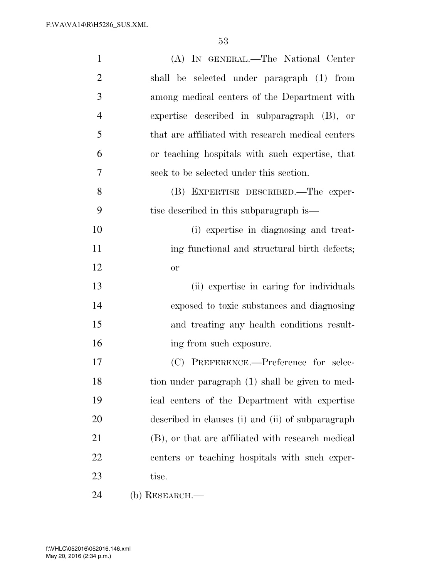| $\mathbf{1}$   | (A) IN GENERAL.—The National Center               |
|----------------|---------------------------------------------------|
| $\overline{2}$ | shall be selected under paragraph (1) from        |
| 3              | among medical centers of the Department with      |
| $\overline{4}$ | expertise described in subparagraph (B), or       |
| 5              | that are affiliated with research medical centers |
| 6              | or teaching hospitals with such expertise, that   |
| $\overline{7}$ | seek to be selected under this section.           |
| 8              | (B) EXPERTISE DESCRIBED.—The exper-               |
| 9              | tise described in this subparagraph is—           |
| 10             | (i) expertise in diagnosing and treat-            |
| 11             | ing functional and structural birth defects;      |
| 12             | <b>or</b>                                         |
| 13             | (ii) expertise in caring for individuals          |
| 14             | exposed to toxic substances and diagnosing        |
| 15             | and treating any health conditions result-        |
| 16             | ing from such exposure.                           |
| 17             | (C) PREFERENCE.—Preference for selec-             |
| 18             | tion under paragraph (1) shall be given to med-   |
| 19             | ical centers of the Department with expertise     |
| 20             | described in clauses (i) and (ii) of subparagraph |
| 21             | (B), or that are affiliated with research medical |
| 22             | centers or teaching hospitals with such exper-    |
| 23             | tise.                                             |
| 24             | $(b)$ RESEARCH.—                                  |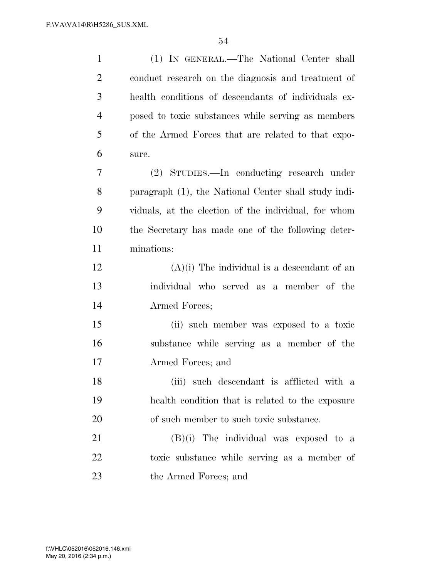| $\mathbf{1}$   | (1) IN GENERAL.—The National Center shall            |
|----------------|------------------------------------------------------|
| $\overline{2}$ | conduct research on the diagnosis and treatment of   |
| 3              | health conditions of descendants of individuals ex-  |
| $\overline{4}$ | posed to toxic substances while serving as members   |
| 5              | of the Armed Forces that are related to that expo-   |
| 6              | sure.                                                |
| 7              | (2) STUDIES.—In conducting research under            |
| 8              | paragraph (1), the National Center shall study indi- |
| 9              | viduals, at the election of the individual, for whom |
| 10             | the Secretary has made one of the following deter-   |
| 11             | minations:                                           |
| 12             | $(A)(i)$ The individual is a descendant of an        |
| 13             | individual who served as a member of the             |
| 14             | Armed Forces;                                        |
| 15             | (ii) such member was exposed to a toxic              |
| 16             | substance while serving as a member of the           |
| 17             | Armed Forces; and                                    |
| 18             | (iii) such descendant is afflicted with a            |
| 19             | health condition that is related to the exposure     |
| 20             | of such member to such toxic substance.              |
| 21             | $(B)(i)$ The individual was exposed to a             |
| 22             | toxic substance while serving as a member of         |
| 23             | the Armed Forces; and                                |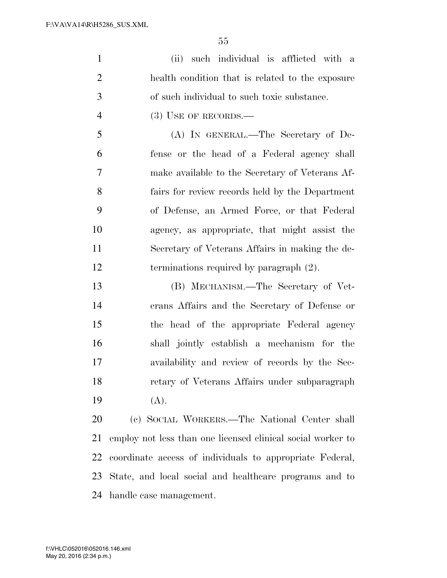(ii) such individual is afflicted with a health condition that is related to the exposure of such individual to such toxic substance.

4 (3) USE OF RECORDS.—

 (A) IN GENERAL.—The Secretary of De- fense or the head of a Federal agency shall make available to the Secretary of Veterans Af- fairs for review records held by the Department of Defense, an Armed Force, or that Federal agency, as appropriate, that might assist the Secretary of Veterans Affairs in making the de-terminations required by paragraph (2).

 (B) MECHANISM.—The Secretary of Vet- erans Affairs and the Secretary of Defense or the head of the appropriate Federal agency shall jointly establish a mechanism for the availability and review of records by the Sec- retary of Veterans Affairs under subparagraph (A).

 (c) SOCIAL WORKERS.—The National Center shall employ not less than one licensed clinical social worker to coordinate access of individuals to appropriate Federal, State, and local social and healthcare programs and to handle case management.

May 20, 2016 (2:34 p.m.) f:\VHLC\052016\052016.146.xml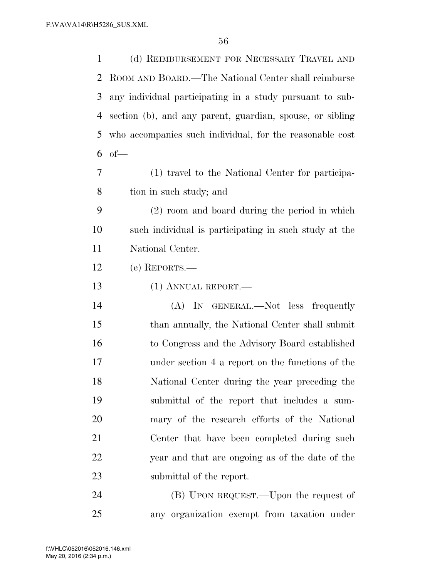(d) REIMBURSEMENT FOR NECESSARY TRAVEL AND ROOM AND BOARD.—The National Center shall reimburse any individual participating in a study pursuant to sub- section (b), and any parent, guardian, spouse, or sibling who accompanies such individual, for the reasonable cost of— (1) travel to the National Center for participa- tion in such study; and (2) room and board during the period in which such individual is participating in such study at the National Center. (e) REPORTS.— (1) ANNUAL REPORT.— (A) IN GENERAL.—Not less frequently than annually, the National Center shall submit to Congress and the Advisory Board established under section 4 a report on the functions of the National Center during the year preceding the submittal of the report that includes a sum- mary of the research efforts of the National Center that have been completed during such year and that are ongoing as of the date of the submittal of the report. 24 (B) UPON REQUEST.—Upon the request of

any organization exempt from taxation under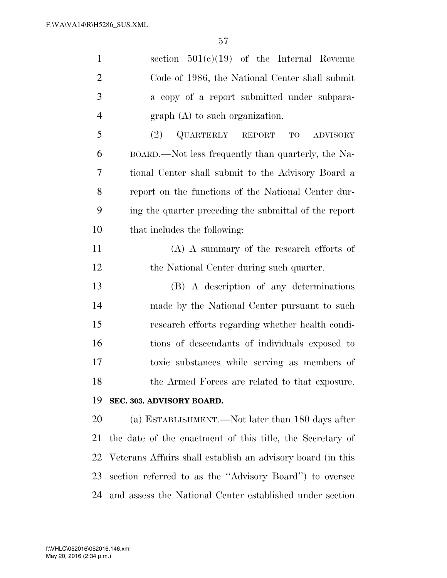| $\mathbf{1}$   | section $501(e)(19)$ of the Internal Revenue                |
|----------------|-------------------------------------------------------------|
| $\overline{2}$ | Code of 1986, the National Center shall submit              |
| 3              | a copy of a report submitted under subpara-                 |
| $\overline{4}$ | $graph(A)$ to such organization.                            |
| 5              | QUARTERLY REPORT TO<br>(2)<br><b>ADVISORY</b>               |
| 6              | BOARD.—Not less frequently than quarterly, the Na-          |
| 7              | tional Center shall submit to the Advisory Board a          |
| 8              | report on the functions of the National Center dur-         |
| 9              | ing the quarter preceding the submittal of the report       |
| 10             | that includes the following:                                |
| 11             | $(A)$ A summary of the research efforts of                  |
| 12             | the National Center during such quarter.                    |
| 13             | (B) A description of any determinations                     |
| 14             | made by the National Center pursuant to such                |
| 15             | research efforts regarding whether health condi-            |
| 16             | tions of descendants of individuals exposed to              |
| 17             | toxic substances while serving as members of                |
| 18             | the Armed Forces are related to that exposure.              |
| 19             | SEC. 303. ADVISORY BOARD.                                   |
| 20             | (a) ESTABLISHMENT.—Not later than 180 days after            |
| 21             | the date of the enactment of this title, the Secretary of   |
| 22             | Veterans Affairs shall establish an advisory board (in this |
| 23             | section referred to as the "Advisory Board" to oversee      |
| 24             | and assess the National Center established under section    |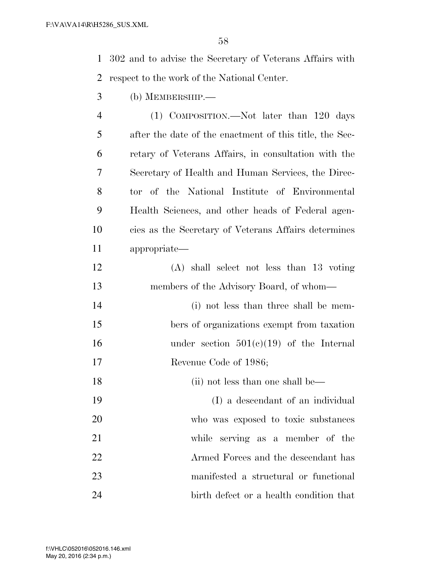302 and to advise the Secretary of Veterans Affairs with respect to the work of the National Center.

(b) MEMBERSHIP.—

 (1) COMPOSITION.—Not later than 120 days after the date of the enactment of this title, the Sec- retary of Veterans Affairs, in consultation with the Secretary of Health and Human Services, the Direc- tor of the National Institute of Environmental Health Sciences, and other heads of Federal agen- cies as the Secretary of Veterans Affairs determines appropriate—

- (A) shall select not less than 13 voting members of the Advisory Board, of whom— (i) not less than three shall be mem-
- bers of organizations exempt from taxation under section 501(c)(19) of the Internal Revenue Code of 1986;
- 18 (ii) not less than one shall be—
- (I) a descendant of an individual who was exposed to toxic substances while serving as a member of the Armed Forces and the descendant has manifested a structural or functional birth defect or a health condition that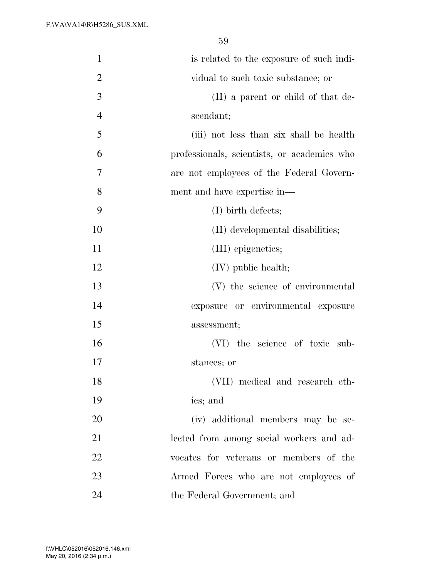| $\mathbf{1}$   | is related to the exposure of such indi-    |
|----------------|---------------------------------------------|
| $\overline{2}$ | vidual to such toxic substance; or          |
| 3              | (II) a parent or child of that de-          |
| $\overline{4}$ | scendant;                                   |
| 5              | (iii) not less than six shall be health     |
| 6              | professionals, scientists, or academics who |
| 7              | are not employees of the Federal Govern-    |
| 8              | ment and have expertise in—                 |
| 9              | $(I)$ birth defects;                        |
| 10             | (II) developmental disabilities;            |
| 11             | (III) epigenetics;                          |
| 12             | $(IV)$ public health;                       |
| 13             | (V) the science of environmental            |
| 14             | exposure or environmental exposure          |
| 15             | assessment;                                 |
| 16             | (VI) the science of toxic sub-              |
| 17             | stances; or                                 |
| 18             | (VII) medical and research eth-             |
| 19             | ics; and                                    |
| 20             | (iv) additional members may be se-          |
| 21             | lected from among social workers and ad-    |
| 22             | vocates for veterans or members of the      |
| 23             | Armed Forces who are not employees of       |
| 24             | the Federal Government; and                 |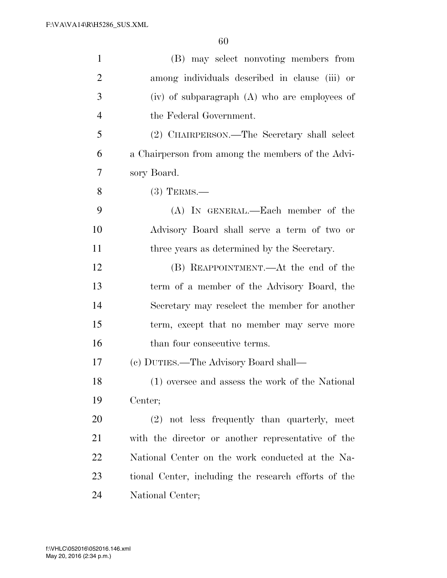| $\mathbf{1}$   | (B) may select nonvoting members from                |
|----------------|------------------------------------------------------|
| $\overline{2}$ | among individuals described in clause (iii) or       |
| 3              | $(iv)$ of subparagraph $(A)$ who are employees of    |
| $\overline{4}$ | the Federal Government.                              |
| 5              | (2) CHAIRPERSON.—The Secretary shall select          |
| 6              | a Chairperson from among the members of the Advi-    |
| 7              | sory Board.                                          |
| 8              | $(3)$ TERMS.—                                        |
| 9              | (A) IN GENERAL.—Each member of the                   |
| 10             | Advisory Board shall serve a term of two or          |
| 11             | three years as determined by the Secretary.          |
| 12             | (B) REAPPOINTMENT.—At the end of the                 |
| 13             | term of a member of the Advisory Board, the          |
| 14             | Secretary may reselect the member for another        |
| 15             | term, except that no member may serve more           |
| 16             | than four consecutive terms.                         |
| 17             | (c) DUTIES.—The Advisory Board shall—                |
| 18             | (1) oversee and assess the work of the National      |
| 19             | Center;                                              |
| 20             | (2) not less frequently than quarterly, meet         |
| 21             | with the director or another representative of the   |
| 22             | National Center on the work conducted at the Na-     |
| 23             | tional Center, including the research efforts of the |
| 24             | National Center;                                     |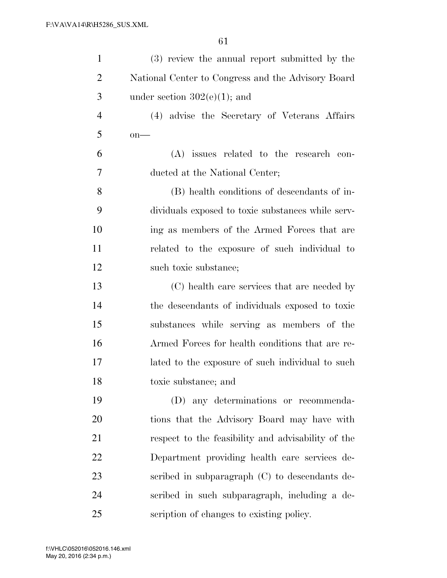| $\mathbf{1}$   | (3) review the annual report submitted by the      |
|----------------|----------------------------------------------------|
| $\overline{2}$ | National Center to Congress and the Advisory Board |
| 3              | under section $302(e)(1)$ ; and                    |
| $\overline{4}$ | (4) advise the Secretary of Veterans Affairs       |
| 5              | $on$ —                                             |
| 6              | (A) issues related to the research con-            |
| 7              | ducted at the National Center;                     |
| 8              | (B) health conditions of descendants of in-        |
| 9              | dividuals exposed to toxic substances while serv-  |
| 10             | ing as members of the Armed Forces that are        |
| 11             | related to the exposure of such individual to      |
| 12             | such toxic substance;                              |
| 13             | (C) health care services that are needed by        |
| 14             | the descendants of individuals exposed to toxic    |
| 15             | substances while serving as members of the         |
| 16             | Armed Forces for health conditions that are re-    |
| 17             | lated to the exposure of such individual to such   |
| 18             | toxic substance; and                               |
| 19             | (D) any determinations or recommenda-              |
| 20             | tions that the Advisory Board may have with        |
| 21             | respect to the feasibility and advisability of the |
| 22             | Department providing health care services de-      |
| 23             | scribed in subparagraph (C) to descendants de-     |
| 24             | scribed in such subparagraph, including a de-      |
| 25             | scription of changes to existing policy.           |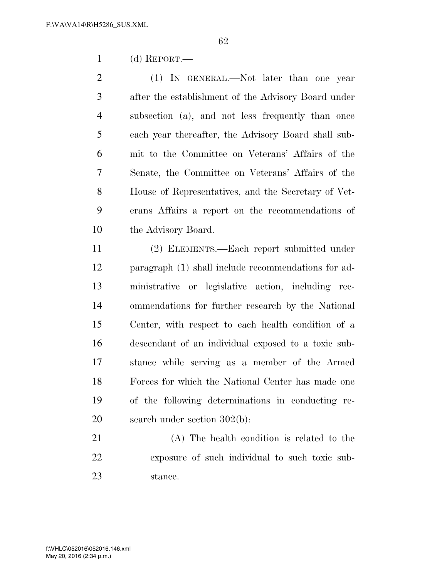(d) REPORT.—

2 (1) IN GENERAL.—Not later than one year after the establishment of the Advisory Board under subsection (a), and not less frequently than once each year thereafter, the Advisory Board shall sub- mit to the Committee on Veterans' Affairs of the Senate, the Committee on Veterans' Affairs of the House of Representatives, and the Secretary of Vet- erans Affairs a report on the recommendations of 10 the Advisory Board.

 (2) ELEMENTS.—Each report submitted under paragraph (1) shall include recommendations for ad- ministrative or legislative action, including rec- ommendations for further research by the National Center, with respect to each health condition of a descendant of an individual exposed to a toxic sub- stance while serving as a member of the Armed Forces for which the National Center has made one of the following determinations in conducting re-search under section 302(b):

 (A) The health condition is related to the exposure of such individual to such toxic sub-stance.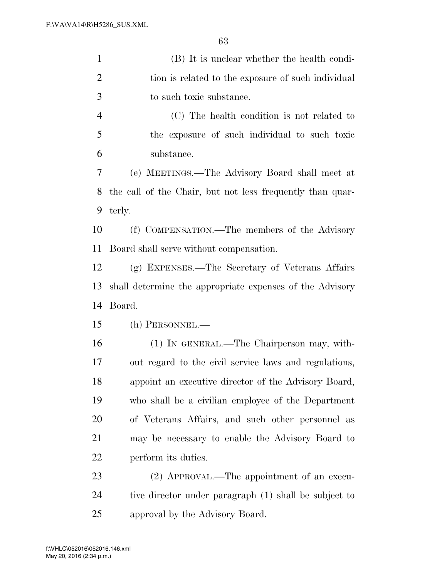| $\mathbf{1}$   | (B) It is unclear whether the health condi-               |
|----------------|-----------------------------------------------------------|
| $\overline{2}$ | tion is related to the exposure of such individual        |
| 3              | to such toxic substance.                                  |
| $\overline{4}$ | (C) The health condition is not related to                |
| 5              | the exposure of such individual to such toxic             |
| 6              | substance.                                                |
| 7              | (e) MEETINGS.—The Advisory Board shall meet at            |
| 8              | the call of the Chair, but not less frequently than quar- |
| 9              | terly.                                                    |
| 10             | (f) COMPENSATION.—The members of the Advisory             |
| 11             | Board shall serve without compensation.                   |
| 12             | (g) EXPENSES.—The Secretary of Veterans Affairs           |
| 13             | shall determine the appropriate expenses of the Advisory  |
| 14             | Board.                                                    |
| 15             | (h) PERSONNEL.—                                           |
| 16             | (1) IN GENERAL.—The Chairperson may, with-                |
| 17             | out regard to the civil service laws and regulations,     |
| 18             | appoint an executive director of the Advisory Board,      |
| 19             | who shall be a civilian employee of the Department        |
| 20             | of Veterans Affairs, and such other personnel as          |
| 21             | may be necessary to enable the Advisory Board to          |
| 22             | perform its duties.                                       |
| 23             | (2) APPROVAL.—The appointment of an execu-                |
| 24             | tive director under paragraph (1) shall be subject to     |
|                |                                                           |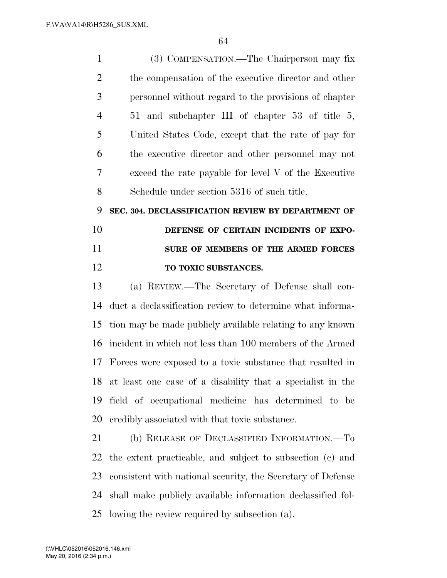| $\mathbf{1}$   | (3) COMPENSATION.—The Chairperson may fix                     |
|----------------|---------------------------------------------------------------|
| $\overline{2}$ | the compensation of the executive director and other          |
| 3              | personnel without regard to the provisions of chapter         |
| $\overline{4}$ | 51 and subchapter III of chapter 53 of title 5,               |
| 5              | United States Code, except that the rate of pay for           |
| 6              | the executive director and other personnel may not            |
| 7              | exceed the rate payable for level $V$ of the Executive        |
| 8              | Schedule under section 5316 of such title.                    |
| 9              | SEC. 304. DECLASSIFICATION REVIEW BY DEPARTMENT OF            |
| 10             | DEFENSE OF CERTAIN INCIDENTS OF EXPO-                         |
| 11             | SURE OF MEMBERS OF THE ARMED FORCES                           |
| 12             | TO TOXIC SUBSTANCES.                                          |
| 13             | (a) REVIEW.—The Secretary of Defense shall con-               |
| 14             | duct a declassification review to determine what informa-     |
| 15             | tion may be made publicly available relating to any known     |
| 16             | incident in which not less than 100 members of the Armed      |
| 17             | Forces were exposed to a toxic substance that resulted in     |
|                | 18 at least one case of a disability that a specialist in the |
| 19             | field of occupational medicine has determined to be           |
| 20             | credibly associated with that toxic substance.                |
| 21             | (b) RELEASE OF DECLASSIFIED INFORMATION.—To                   |
| 22             | the extent practicable, and subject to subsection (c) and     |
| 23             | consistent with national security, the Secretary of Defense   |
| 24             | shall make publicly available information declassified fol-   |
|                | 25 lowing the review required by subsection (a).              |

May 20, 2016 (2:34 p.m.) f:\VHLC\052016\052016.146.xml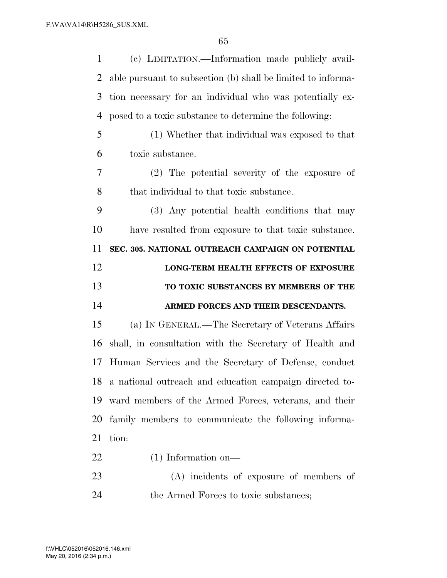| 1  | (c) LIMITATION.—Information made publicly avail-             |
|----|--------------------------------------------------------------|
| 2  | able pursuant to subsection (b) shall be limited to informa- |
| 3  | tion necessary for an individual who was potentially ex-     |
| 4  | posed to a toxic substance to determine the following:       |
| 5  | (1) Whether that individual was exposed to that              |
| 6  | toxic substance.                                             |
| 7  | (2) The potential severity of the exposure of                |
| 8  | that individual to that toxic substance.                     |
| 9  | (3) Any potential health conditions that may                 |
| 10 | have resulted from exposure to that toxic substance.         |
| 11 | SEC. 305. NATIONAL OUTREACH CAMPAIGN ON POTENTIAL            |
| 12 | LONG-TERM HEALTH EFFECTS OF EXPOSURE                         |
|    |                                                              |
| 13 | TO TOXIC SUBSTANCES BY MEMBERS OF THE                        |
| 14 | ARMED FORCES AND THEIR DESCENDANTS.                          |
| 15 | (a) IN GENERAL.—The Secretary of Veterans Affairs            |
| 16 | shall, in consultation with the Secretary of Health and      |
| 17 | Human Services and the Secretary of Defense, conduct         |
|    | 18 a national outreach and education campaign directed to-   |
| 19 | ward members of the Armed Forces, veterans, and their        |
| 20 | family members to communicate the following informa-         |
| 21 | tion:                                                        |
| 22 | $(1)$ Information on—                                        |
| 23 | (A) incidents of exposure of members of                      |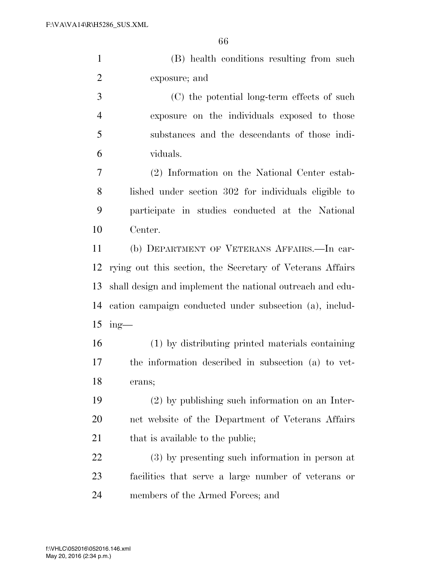(B) health conditions resulting from such exposure; and

 (C) the potential long-term effects of such exposure on the individuals exposed to those substances and the descendants of those indi-viduals.

 (2) Information on the National Center estab- lished under section 302 for individuals eligible to participate in studies conducted at the National Center.

 (b) DEPARTMENT OF VETERANS AFFAIRS.—In car- rying out this section, the Secretary of Veterans Affairs shall design and implement the national outreach and edu- cation campaign conducted under subsection (a), includ-ing—

 (1) by distributing printed materials containing the information described in subsection (a) to vet-erans;

 (2) by publishing such information on an Inter- net website of the Department of Veterans Affairs 21 that is available to the public;

 (3) by presenting such information in person at facilities that serve a large number of veterans or members of the Armed Forces; and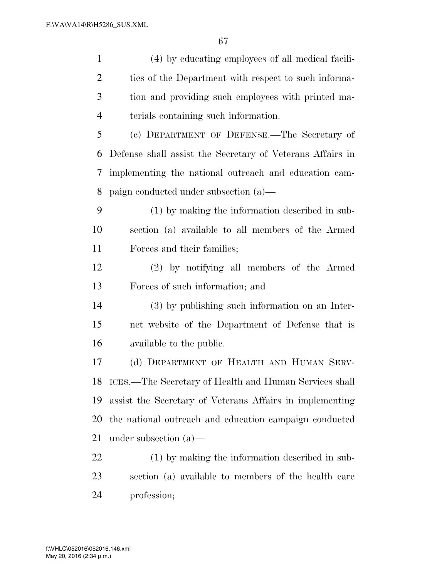| $\mathbf{1}$   | (4) by educating employees of all medical facili-         |
|----------------|-----------------------------------------------------------|
| $\overline{c}$ | ties of the Department with respect to such informa-      |
| 3              | tion and providing such employees with printed ma-        |
| $\overline{4}$ | terials containing such information.                      |
| 5              | (c) DEPARTMENT OF DEFENSE.—The Secretary of               |
| 6              | Defense shall assist the Secretary of Veterans Affairs in |
| 7              | implementing the national outreach and education cam-     |
| 8              | paign conducted under subsection (a)—                     |
| 9              | (1) by making the information described in sub-           |
| 10             | section (a) available to all members of the Armed         |
| 11             | Forces and their families;                                |
| 12             | (2) by notifying all members of the Armed                 |
| 13             | Forces of such information; and                           |
| 14             | (3) by publishing such information on an Inter-           |
| 15             | net website of the Department of Defense that is          |
| 16             | available to the public.                                  |
| 17             | (d) DEPARTMENT OF HEALTH AND HUMAN SERV-                  |
|                | 18 ICES.—The Secretary of Health and Human Services shall |
| 19             | assist the Secretary of Veterans Affairs in implementing  |
| 20             | the national outreach and education campaign conducted    |
| 21             | under subsection $(a)$ —                                  |
| 22             | (1) by making the information described in sub-           |
| 23             | section (a) available to members of the health care       |
| 24             | profession;                                               |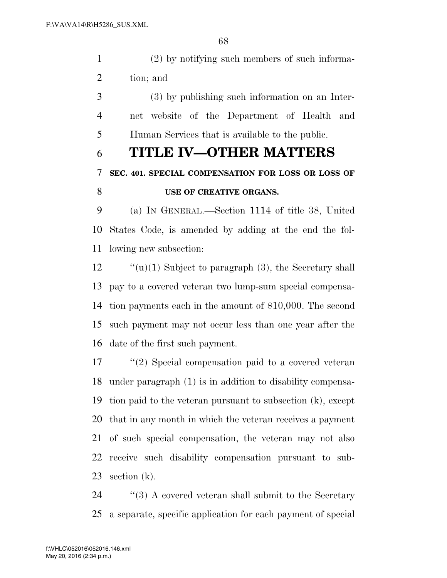(2) by notifying such members of such informa-tion; and

 (3) by publishing such information on an Inter- net website of the Department of Health and Human Services that is available to the public.

### **TITLE IV—OTHER MATTERS**

### **SEC. 401. SPECIAL COMPENSATION FOR LOSS OR LOSS OF**

### **USE OF CREATIVE ORGANS.**

 (a) IN GENERAL.—Section 1114 of title 38, United States Code, is amended by adding at the end the fol-lowing new subsection:

 $\qquad$  "(u)(1) Subject to paragraph (3), the Secretary shall pay to a covered veteran two lump-sum special compensa- tion payments each in the amount of \$10,000. The second such payment may not occur less than one year after the date of the first such payment.

 ''(2) Special compensation paid to a covered veteran under paragraph (1) is in addition to disability compensa- tion paid to the veteran pursuant to subsection (k), except that in any month in which the veteran receives a payment of such special compensation, the veteran may not also receive such disability compensation pursuant to sub-section (k).

24 ''(3) A covered veteran shall submit to the Secretary a separate, specific application for each payment of special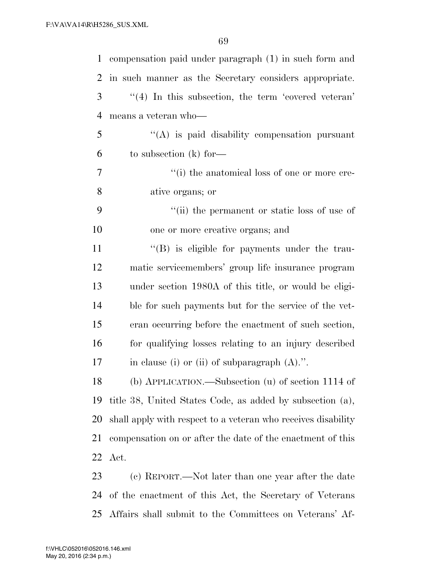| $\mathbf{1}$   | compensation paid under paragraph (1) in such form and        |
|----------------|---------------------------------------------------------------|
| 2              | in such manner as the Secretary considers appropriate.        |
| 3              | $\lq(4)$ In this subsection, the term 'covered veteran'       |
| $\overline{4}$ | means a veteran who-                                          |
| 5              | "(A) is paid disability compensation pursuant                 |
| 6              | to subsection $(k)$ for —                                     |
| 7              | "(i) the anatomical loss of one or more cre-                  |
| 8              | ative organs; or                                              |
| 9              | "(ii) the permanent or static loss of use of                  |
| 10             | one or more creative organs; and                              |
| 11             | $\lq\lq(B)$ is eligible for payments under the trau-          |
| 12             | matic servicemembers' group life insurance program            |
| 13             | under section 1980A of this title, or would be eligi-         |
| 14             | ble for such payments but for the service of the vet-         |
| 15             | eran occurring before the enactment of such section,          |
| 16             | for qualifying losses relating to an injury described         |
| 17             | in clause (i) or (ii) of subparagraph $(A)$ .".               |
| 18             | (b) APPLICATION.—Subsection (u) of section 1114 of            |
| 19             | title 38, United States Code, as added by subsection (a),     |
| 20             | shall apply with respect to a veteran who receives disability |
| 21             | compensation on or after the date of the enactment of this    |
| 22             | Act.                                                          |
| 23             | (c) REPORT.—Not later than one year after the date            |
| 24             | of the enactment of this Act, the Secretary of Veterans       |

Affairs shall submit to the Committees on Veterans' Af-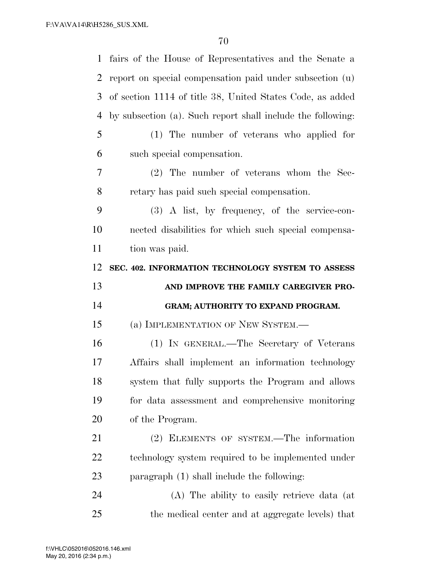| $\mathbf{1}$   | fairs of the House of Representatives and the Senate a      |
|----------------|-------------------------------------------------------------|
| $\overline{2}$ | report on special compensation paid under subsection (u)    |
| 3              | of section 1114 of title 38, United States Code, as added   |
| $\overline{4}$ | by subsection (a). Such report shall include the following: |
| 5              | (1) The number of veterans who applied for                  |
| 6              | such special compensation.                                  |
| 7              | $(2)$ The number of veterans whom the Sec-                  |
| 8              | retary has paid such special compensation.                  |
| 9              | $(3)$ A list, by frequency, of the service-con-             |
| 10             | nected disabilities for which such special compensa-        |
| 11             | tion was paid.                                              |
| 12             | SEC. 402. INFORMATION TECHNOLOGY SYSTEM TO ASSESS           |
|                |                                                             |
| 13             | AND IMPROVE THE FAMILY CAREGIVER PRO-                       |
| 14             | GRAM; AUTHORITY TO EXPAND PROGRAM.                          |
| 15             | (a) IMPLEMENTATION OF NEW SYSTEM.—                          |
| 16             | (1) IN GENERAL.—The Secretary of Veterans                   |
| 17             | Affairs shall implement an information technology           |
| 18             | system that fully supports the Program and allows           |
| 19             | for data assessment and comprehensive monitoring            |
| 20             | of the Program.                                             |
| 21             | (2) ELEMENTS OF SYSTEM.—The information                     |
| 22             | technology system required to be implemented under          |
| 23             | paragraph (1) shall include the following:                  |
| 24             | (A) The ability to easily retrieve data (at                 |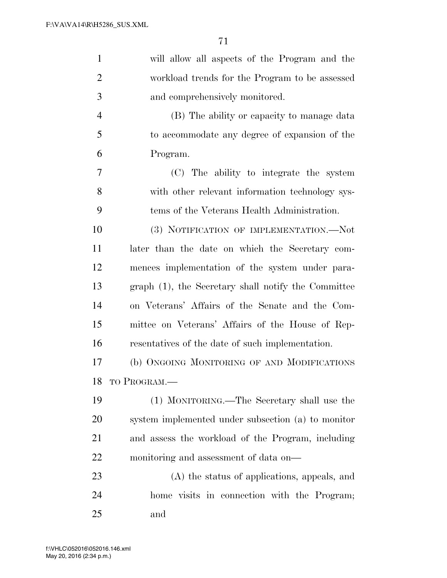| $\mathbf{1}$   | will allow all aspects of the Program and the       |
|----------------|-----------------------------------------------------|
|                |                                                     |
| $\overline{2}$ | workload trends for the Program to be assessed      |
| 3              | and comprehensively monitored.                      |
| $\overline{4}$ | (B) The ability or capacity to manage data          |
| 5              | to accommodate any degree of expansion of the       |
| 6              | Program.                                            |
| 7              | (C) The ability to integrate the system             |
| 8              | with other relevant information technology sys-     |
| 9              | tems of the Veterans Health Administration.         |
| 10             | (3) NOTIFICATION OF IMPLEMENTATION.—Not             |
| 11             | later than the date on which the Secretary com-     |
| 12             | mences implementation of the system under para-     |
| 13             | graph (1), the Secretary shall notify the Committee |
| 14             | on Veterans' Affairs of the Senate and the Com-     |
| 15             | mittee on Veterans' Affairs of the House of Rep-    |
| 16             | resentatives of the date of such implementation.    |
| 17             | (b) ONGOING MONITORING OF AND MODIFICATIONS         |
| 18             | TO PROGRAM.                                         |
| 19             | (1) MONITORING.—The Secretary shall use the         |
| 20             | system implemented under subsection (a) to monitor  |
| 21             | and assess the workload of the Program, including   |
| 22             | monitoring and assessment of data on—               |
| 23             | (A) the status of applications, appeals, and        |
| 24             | home visits in connection with the Program;         |
| 25             | and                                                 |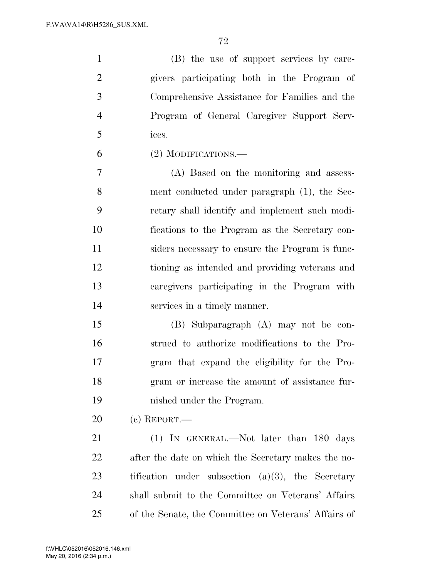(B) the use of support services by care- givers participating both in the Program of Comprehensive Assistance for Families and the Program of General Caregiver Support Serv-ices.

(2) MODIFICATIONS.—

 (A) Based on the monitoring and assess- ment conducted under paragraph (1), the Sec- retary shall identify and implement such modi- fications to the Program as the Secretary con- siders necessary to ensure the Program is func- tioning as intended and providing veterans and caregivers participating in the Program with services in a timely manner.

 (B) Subparagraph (A) may not be con- strued to authorize modifications to the Pro- gram that expand the eligibility for the Pro- gram or increase the amount of assistance fur-nished under the Program.

(c) REPORT.—

 (1) IN GENERAL.—Not later than 180 days after the date on which the Secretary makes the no- tification under subsection (a)(3), the Secretary shall submit to the Committee on Veterans' Affairs of the Senate, the Committee on Veterans' Affairs of

May 20, 2016 (2:34 p.m.) f:\VHLC\052016\052016.146.xml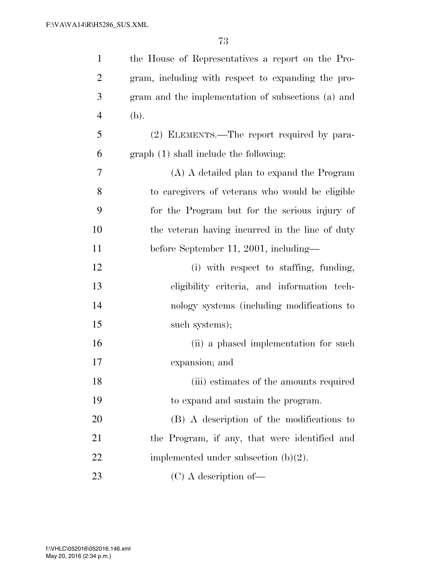| $\mathbf{1}$   | the House of Representatives a report on the Pro-  |
|----------------|----------------------------------------------------|
| $\overline{2}$ | gram, including with respect to expanding the pro- |
| 3              | gram and the implementation of subsections (a) and |
| $\overline{4}$ | (b).                                               |
| 5              | (2) ELEMENTS.—The report required by para-         |
| 6              | graph (1) shall include the following:             |
| 7              | (A) A detailed plan to expand the Program          |
| 8              | to caregivers of veterans who would be eligible    |
| 9              | for the Program but for the serious injury of      |
| 10             | the veteran having incurred in the line of duty    |
| 11             | before September 11, 2001, including—              |
| 12             | (i) with respect to staffing, funding,             |
| 13             | eligibility criteria, and information tech-        |
| 14             | nology systems (including modifications to         |
| 15             | such systems);                                     |
| 16             | (ii) a phased implementation for such              |
| 17             | expansion; and                                     |
| 18             | (iii) estimates of the amounts required            |
| 19             | to expand and sustain the program.                 |
| 20             | (B) A description of the modifications to          |
| 21             | the Program, if any, that were identified and      |
| 22             | implemented under subsection $(b)(2)$ .            |
| 23             | $(C)$ A description of —                           |